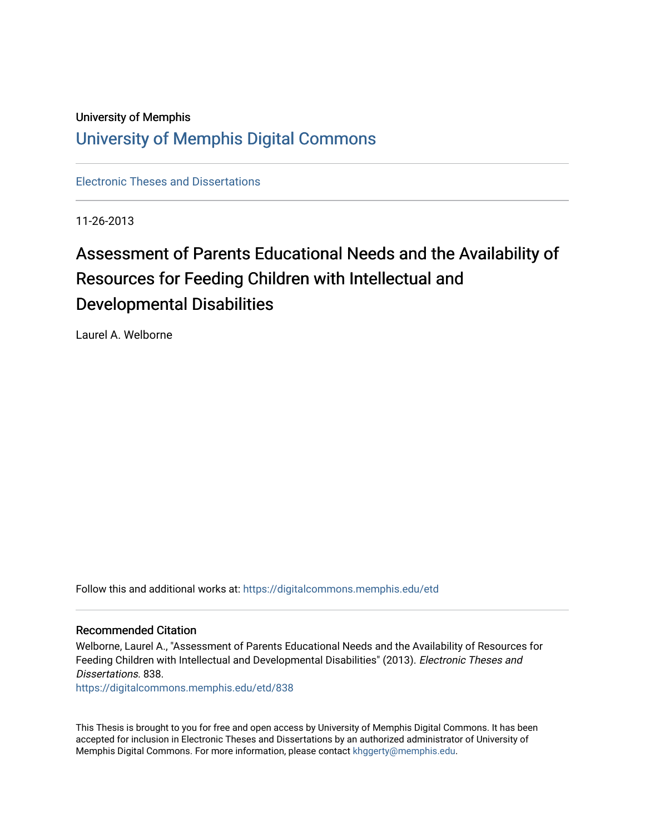## University of Memphis [University of Memphis Digital Commons](https://digitalcommons.memphis.edu/)

[Electronic Theses and Dissertations](https://digitalcommons.memphis.edu/etd)

11-26-2013

# Assessment of Parents Educational Needs and the Availability of Resources for Feeding Children with Intellectual and Developmental Disabilities

Laurel A. Welborne

Follow this and additional works at: [https://digitalcommons.memphis.edu/etd](https://digitalcommons.memphis.edu/etd?utm_source=digitalcommons.memphis.edu%2Fetd%2F838&utm_medium=PDF&utm_campaign=PDFCoverPages) 

#### Recommended Citation

Welborne, Laurel A., "Assessment of Parents Educational Needs and the Availability of Resources for Feeding Children with Intellectual and Developmental Disabilities" (2013). Electronic Theses and Dissertations. 838.

[https://digitalcommons.memphis.edu/etd/838](https://digitalcommons.memphis.edu/etd/838?utm_source=digitalcommons.memphis.edu%2Fetd%2F838&utm_medium=PDF&utm_campaign=PDFCoverPages) 

This Thesis is brought to you for free and open access by University of Memphis Digital Commons. It has been accepted for inclusion in Electronic Theses and Dissertations by an authorized administrator of University of Memphis Digital Commons. For more information, please contact [khggerty@memphis.edu.](mailto:khggerty@memphis.edu)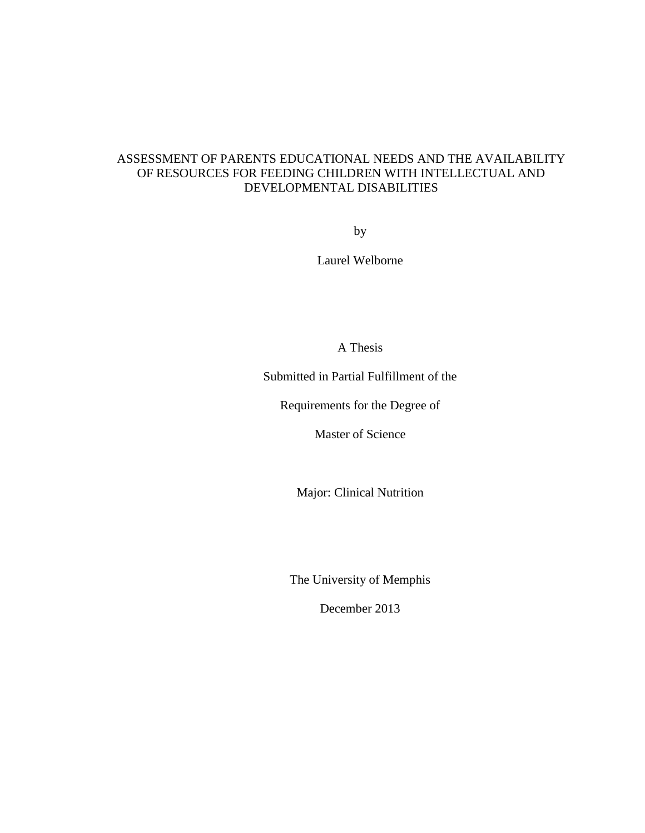## ASSESSMENT OF PARENTS EDUCATIONAL NEEDS AND THE AVAILABILITY OF RESOURCES FOR FEEDING CHILDREN WITH INTELLECTUAL AND DEVELOPMENTAL DISABILITIES

by

Laurel Welborne

A Thesis

Submitted in Partial Fulfillment of the

Requirements for the Degree of

Master of Science

Major: Clinical Nutrition

The University of Memphis

December 2013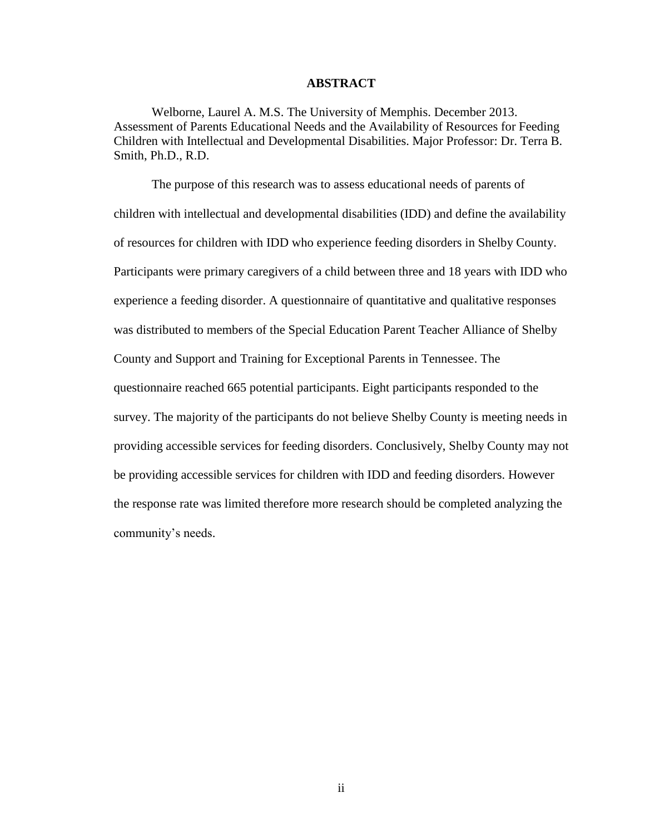#### **ABSTRACT**

Welborne, Laurel A. M.S. The University of Memphis. December 2013. Assessment of Parents Educational Needs and the Availability of Resources for Feeding Children with Intellectual and Developmental Disabilities. Major Professor: Dr. Terra B. Smith, Ph.D., R.D.

The purpose of this research was to assess educational needs of parents of children with intellectual and developmental disabilities (IDD) and define the availability of resources for children with IDD who experience feeding disorders in Shelby County. Participants were primary caregivers of a child between three and 18 years with IDD who experience a feeding disorder. A questionnaire of quantitative and qualitative responses was distributed to members of the Special Education Parent Teacher Alliance of Shelby County and Support and Training for Exceptional Parents in Tennessee. The questionnaire reached 665 potential participants. Eight participants responded to the survey. The majority of the participants do not believe Shelby County is meeting needs in providing accessible services for feeding disorders. Conclusively, Shelby County may not be providing accessible services for children with IDD and feeding disorders. However the response rate was limited therefore more research should be completed analyzing the community's needs.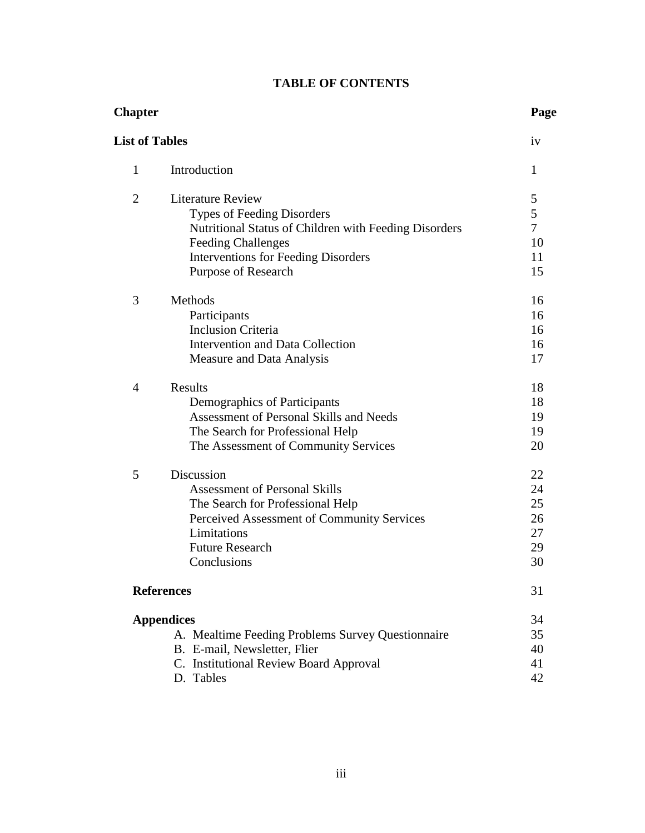| <b>TABLE OF CONTENTS</b> |  |  |
|--------------------------|--|--|
|--------------------------|--|--|

| <b>Chapter</b>        |                                                                                                                                                                                                                   | Page                                   |
|-----------------------|-------------------------------------------------------------------------------------------------------------------------------------------------------------------------------------------------------------------|----------------------------------------|
| <b>List of Tables</b> |                                                                                                                                                                                                                   | iv                                     |
| 1                     | Introduction                                                                                                                                                                                                      | 1                                      |
| $\overline{2}$        | <b>Literature Review</b><br>Types of Feeding Disorders<br>Nutritional Status of Children with Feeding Disorders<br><b>Feeding Challenges</b><br><b>Interventions for Feeding Disorders</b><br>Purpose of Research | 5<br>5<br>$\tau$<br>10<br>11<br>15     |
| 3                     | Methods<br>Participants<br><b>Inclusion Criteria</b><br>Intervention and Data Collection<br>Measure and Data Analysis                                                                                             | 16<br>16<br>16<br>16<br>17             |
| $\overline{4}$        | <b>Results</b><br>Demographics of Participants<br>Assessment of Personal Skills and Needs<br>The Search for Professional Help<br>The Assessment of Community Services                                             | 18<br>18<br>19<br>19<br>20             |
| 5                     | Discussion<br><b>Assessment of Personal Skills</b><br>The Search for Professional Help<br>Perceived Assessment of Community Services<br>Limitations<br><b>Future Research</b><br>Conclusions                      | 22<br>24<br>25<br>26<br>27<br>29<br>30 |
|                       | <b>References</b>                                                                                                                                                                                                 | 31                                     |
|                       | <b>Appendices</b><br>A. Mealtime Feeding Problems Survey Questionnaire<br>B. E-mail, Newsletter, Flier<br>C. Institutional Review Board Approval<br>D. Tables                                                     | 34<br>35<br>40<br>41<br>42             |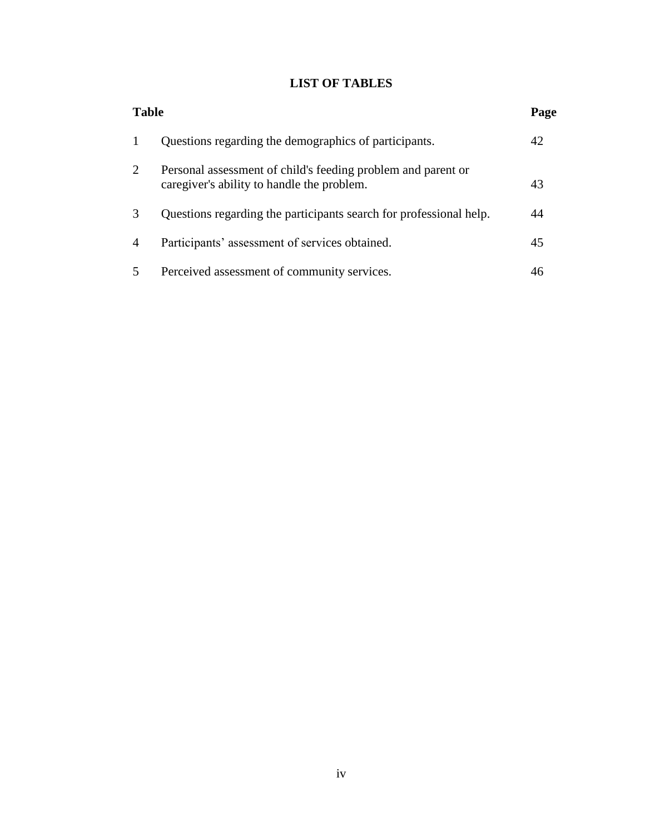## **LIST OF TABLES**

|                        | <b>Table</b>                                                                                               |    |
|------------------------|------------------------------------------------------------------------------------------------------------|----|
|                        | Questions regarding the demographics of participants.                                                      | 42 |
| 2                      | Personal assessment of child's feeding problem and parent or<br>caregiver's ability to handle the problem. | 43 |
| $\mathcal{R}$          | Questions regarding the participants search for professional help.                                         |    |
| $\boldsymbol{\Lambda}$ | Participants' assessment of services obtained.                                                             | 45 |
| 5                      | Perceived assessment of community services.                                                                |    |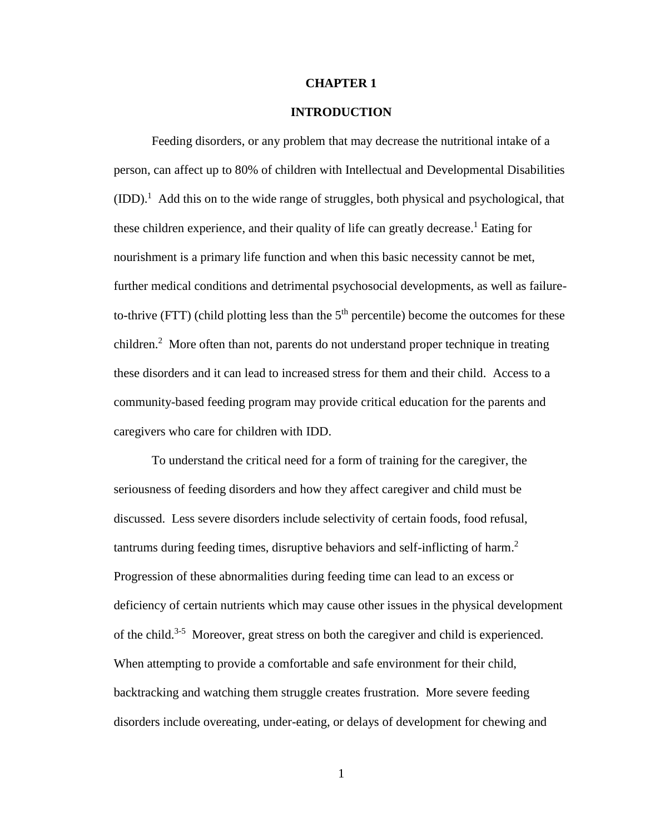#### **CHAPTER 1**

#### **INTRODUCTION**

Feeding disorders, or any problem that may decrease the nutritional intake of a person, can affect up to 80% of children with Intellectual and Developmental Disabilities  $(IDD).<sup>1</sup>$  Add this on to the wide range of struggles, both physical and psychological, that these children experience, and their quality of life can greatly decrease. <sup>1</sup> Eating for nourishment is a primary life function and when this basic necessity cannot be met, further medical conditions and detrimental psychosocial developments, as well as failureto-thrive (FTT) (child plotting less than the  $5<sup>th</sup>$  percentile) become the outcomes for these children.<sup>2</sup> More often than not, parents do not understand proper technique in treating these disorders and it can lead to increased stress for them and their child. Access to a community-based feeding program may provide critical education for the parents and caregivers who care for children with IDD.

To understand the critical need for a form of training for the caregiver, the seriousness of feeding disorders and how they affect caregiver and child must be discussed. Less severe disorders include selectivity of certain foods, food refusal, tantrums during feeding times, disruptive behaviors and self-inflicting of harm. 2 Progression of these abnormalities during feeding time can lead to an excess or deficiency of certain nutrients which may cause other issues in the physical development of the child.<sup>3-5</sup> Moreover, great stress on both the caregiver and child is experienced. When attempting to provide a comfortable and safe environment for their child, backtracking and watching them struggle creates frustration. More severe feeding disorders include overeating, under-eating, or delays of development for chewing and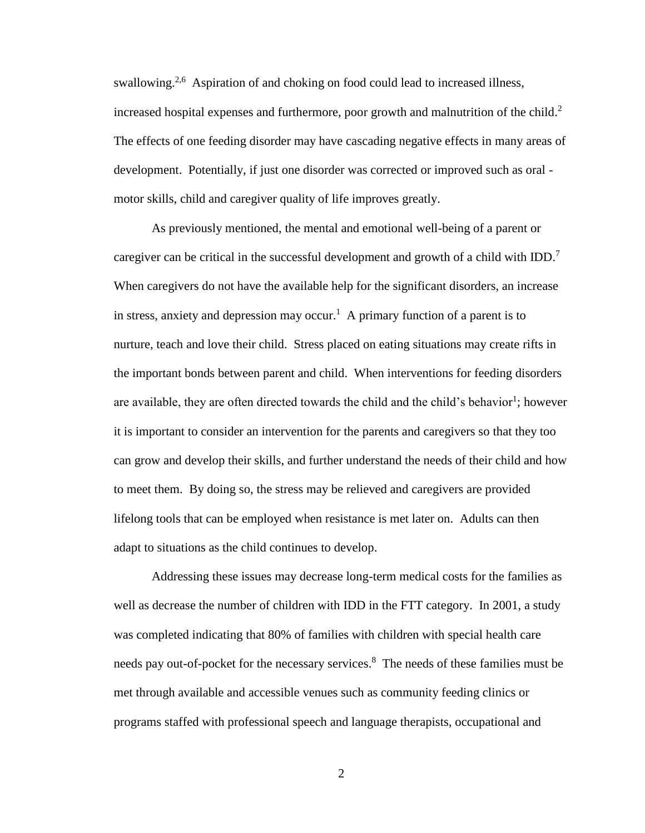swallowing.<sup>2,6</sup> Aspiration of and choking on food could lead to increased illness, increased hospital expenses and furthermore, poor growth and malnutrition of the child. 2 The effects of one feeding disorder may have cascading negative effects in many areas of development. Potentially, if just one disorder was corrected or improved such as oral motor skills, child and caregiver quality of life improves greatly.

As previously mentioned, the mental and emotional well-being of a parent or caregiver can be critical in the successful development and growth of a child with IDD.<sup>7</sup> When caregivers do not have the available help for the significant disorders, an increase in stress, anxiety and depression may occur.<sup>1</sup> A primary function of a parent is to nurture, teach and love their child. Stress placed on eating situations may create rifts in the important bonds between parent and child. When interventions for feeding disorders are available, they are often directed towards the child and the child's behavior<sup>1</sup>; however it is important to consider an intervention for the parents and caregivers so that they too can grow and develop their skills, and further understand the needs of their child and how to meet them. By doing so, the stress may be relieved and caregivers are provided lifelong tools that can be employed when resistance is met later on. Adults can then adapt to situations as the child continues to develop.

Addressing these issues may decrease long-term medical costs for the families as well as decrease the number of children with IDD in the FTT category. In 2001, a study was completed indicating that 80% of families with children with special health care needs pay out-of-pocket for the necessary services. <sup>8</sup> The needs of these families must be met through available and accessible venues such as community feeding clinics or programs staffed with professional speech and language therapists, occupational and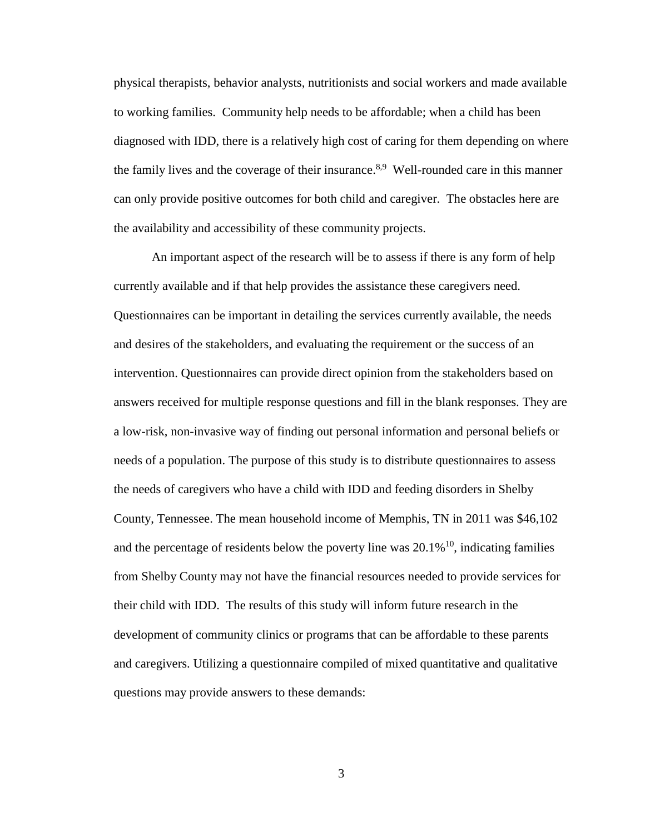physical therapists, behavior analysts, nutritionists and social workers and made available to working families. Community help needs to be affordable; when a child has been diagnosed with IDD, there is a relatively high cost of caring for them depending on where the family lives and the coverage of their insurance.<sup>8,9</sup> Well-rounded care in this manner can only provide positive outcomes for both child and caregiver. The obstacles here are the availability and accessibility of these community projects.

An important aspect of the research will be to assess if there is any form of help currently available and if that help provides the assistance these caregivers need. Questionnaires can be important in detailing the services currently available, the needs and desires of the stakeholders, and evaluating the requirement or the success of an intervention. Questionnaires can provide direct opinion from the stakeholders based on answers received for multiple response questions and fill in the blank responses. They are a low-risk, non-invasive way of finding out personal information and personal beliefs or needs of a population. The purpose of this study is to distribute questionnaires to assess the needs of caregivers who have a child with IDD and feeding disorders in Shelby County, Tennessee. The mean household income of Memphis, TN in 2011 was \$46,102 and the percentage of residents below the poverty line was  $20.1\%$ <sup>10</sup>, indicating families from Shelby County may not have the financial resources needed to provide services for their child with IDD. The results of this study will inform future research in the development of community clinics or programs that can be affordable to these parents and caregivers. Utilizing a questionnaire compiled of mixed quantitative and qualitative questions may provide answers to these demands: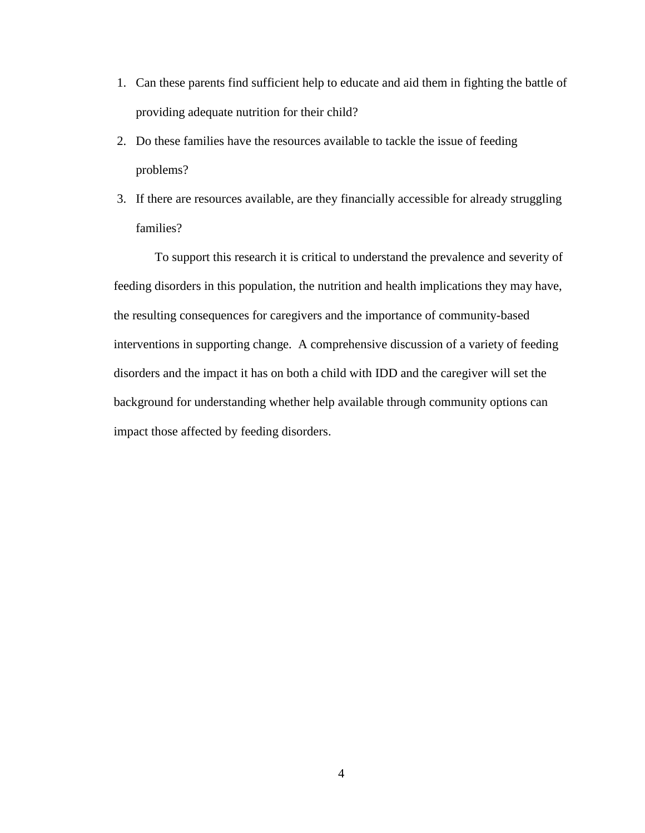- 1. Can these parents find sufficient help to educate and aid them in fighting the battle of providing adequate nutrition for their child?
- 2. Do these families have the resources available to tackle the issue of feeding problems?
- 3. If there are resources available, are they financially accessible for already struggling families?

To support this research it is critical to understand the prevalence and severity of feeding disorders in this population, the nutrition and health implications they may have, the resulting consequences for caregivers and the importance of community-based interventions in supporting change. A comprehensive discussion of a variety of feeding disorders and the impact it has on both a child with IDD and the caregiver will set the background for understanding whether help available through community options can impact those affected by feeding disorders.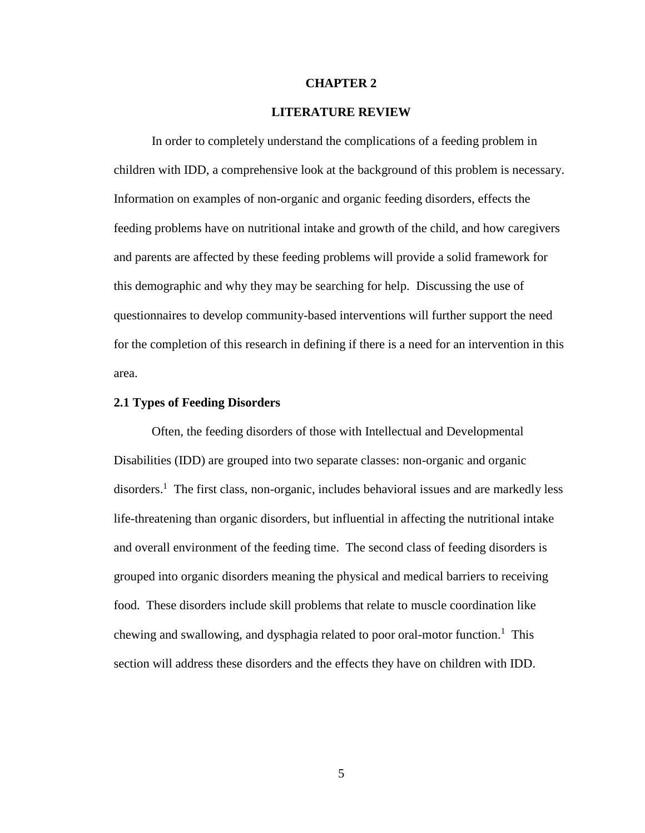#### **CHAPTER 2**

#### **LITERATURE REVIEW**

In order to completely understand the complications of a feeding problem in children with IDD, a comprehensive look at the background of this problem is necessary. Information on examples of non-organic and organic feeding disorders, effects the feeding problems have on nutritional intake and growth of the child, and how caregivers and parents are affected by these feeding problems will provide a solid framework for this demographic and why they may be searching for help. Discussing the use of questionnaires to develop community-based interventions will further support the need for the completion of this research in defining if there is a need for an intervention in this area.

#### **2.1 Types of Feeding Disorders**

Often, the feeding disorders of those with Intellectual and Developmental Disabilities (IDD) are grouped into two separate classes: non-organic and organic disorders.<sup>1</sup> The first class, non-organic, includes behavioral issues and are markedly less life-threatening than organic disorders, but influential in affecting the nutritional intake and overall environment of the feeding time. The second class of feeding disorders is grouped into organic disorders meaning the physical and medical barriers to receiving food. These disorders include skill problems that relate to muscle coordination like chewing and swallowing, and dysphagia related to poor oral-motor function.<sup>1</sup> This section will address these disorders and the effects they have on children with IDD.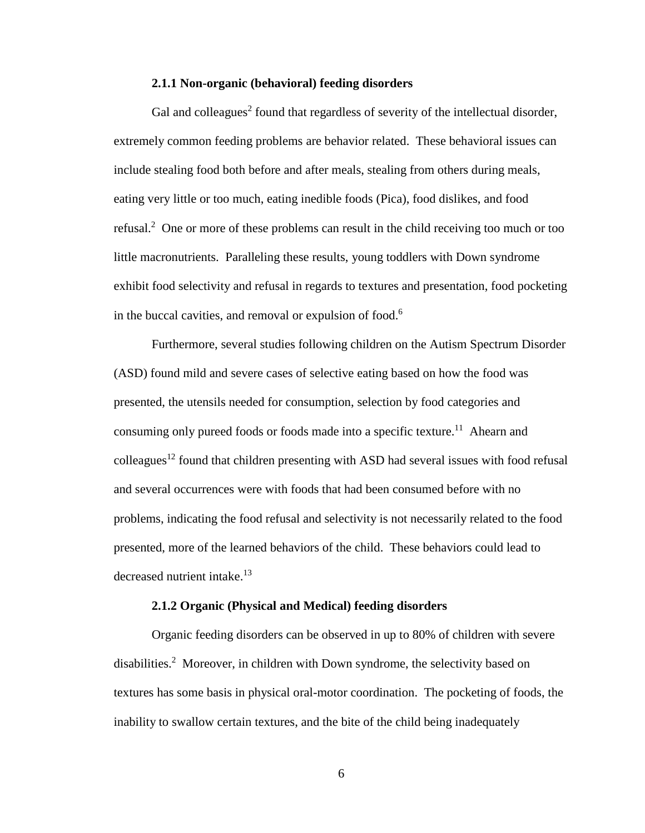#### **2.1.1 Non-organic (behavioral) feeding disorders**

Gal and colleagues<sup>2</sup> found that regardless of severity of the intellectual disorder, extremely common feeding problems are behavior related. These behavioral issues can include stealing food both before and after meals, stealing from others during meals, eating very little or too much, eating inedible foods (Pica), food dislikes, and food refusal. <sup>2</sup> One or more of these problems can result in the child receiving too much or too little macronutrients. Paralleling these results, young toddlers with Down syndrome exhibit food selectivity and refusal in regards to textures and presentation, food pocketing in the buccal cavities, and removal or expulsion of food.<sup>6</sup>

Furthermore, several studies following children on the Autism Spectrum Disorder (ASD) found mild and severe cases of selective eating based on how the food was presented, the utensils needed for consumption, selection by food categories and consuming only pureed foods or foods made into a specific texture.<sup>11</sup> Ahearn and colleagues<sup>12</sup> found that children presenting with ASD had several issues with food refusal and several occurrences were with foods that had been consumed before with no problems, indicating the food refusal and selectivity is not necessarily related to the food presented, more of the learned behaviors of the child. These behaviors could lead to decreased nutrient intake.<sup>13</sup>

#### **2.1.2 Organic (Physical and Medical) feeding disorders**

Organic feeding disorders can be observed in up to 80% of children with severe disabilities. <sup>2</sup> Moreover, in children with Down syndrome, the selectivity based on textures has some basis in physical oral-motor coordination. The pocketing of foods, the inability to swallow certain textures, and the bite of the child being inadequately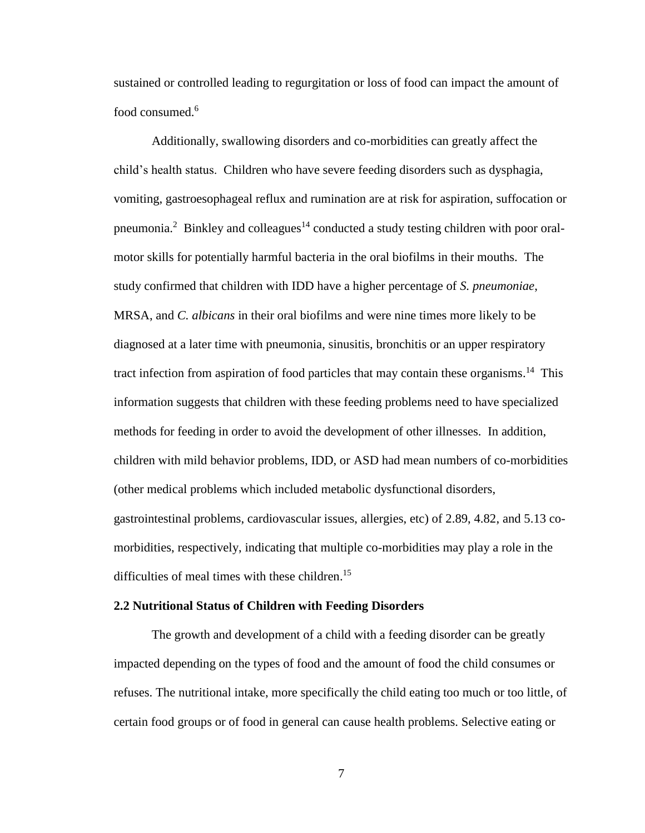sustained or controlled leading to regurgitation or loss of food can impact the amount of food consumed.<sup>6</sup>

Additionally, swallowing disorders and co-morbidities can greatly affect the child's health status. Children who have severe feeding disorders such as dysphagia, vomiting, gastroesophageal reflux and rumination are at risk for aspiration, suffocation or pneumonia.<sup>2</sup> Binkley and colleagues<sup>14</sup> conducted a study testing children with poor oralmotor skills for potentially harmful bacteria in the oral biofilms in their mouths. The study confirmed that children with IDD have a higher percentage of *S. pneumoniae*, MRSA, and *C. albicans* in their oral biofilms and were nine times more likely to be diagnosed at a later time with pneumonia, sinusitis, bronchitis or an upper respiratory tract infection from aspiration of food particles that may contain these organisms.<sup>14</sup> This information suggests that children with these feeding problems need to have specialized methods for feeding in order to avoid the development of other illnesses. In addition, children with mild behavior problems, IDD, or ASD had mean numbers of co-morbidities (other medical problems which included metabolic dysfunctional disorders, gastrointestinal problems, cardiovascular issues, allergies, etc) of 2.89, 4.82, and 5.13 comorbidities, respectively, indicating that multiple co-morbidities may play a role in the difficulties of meal times with these children.<sup>15</sup>

#### **2.2 Nutritional Status of Children with Feeding Disorders**

The growth and development of a child with a feeding disorder can be greatly impacted depending on the types of food and the amount of food the child consumes or refuses. The nutritional intake, more specifically the child eating too much or too little, of certain food groups or of food in general can cause health problems. Selective eating or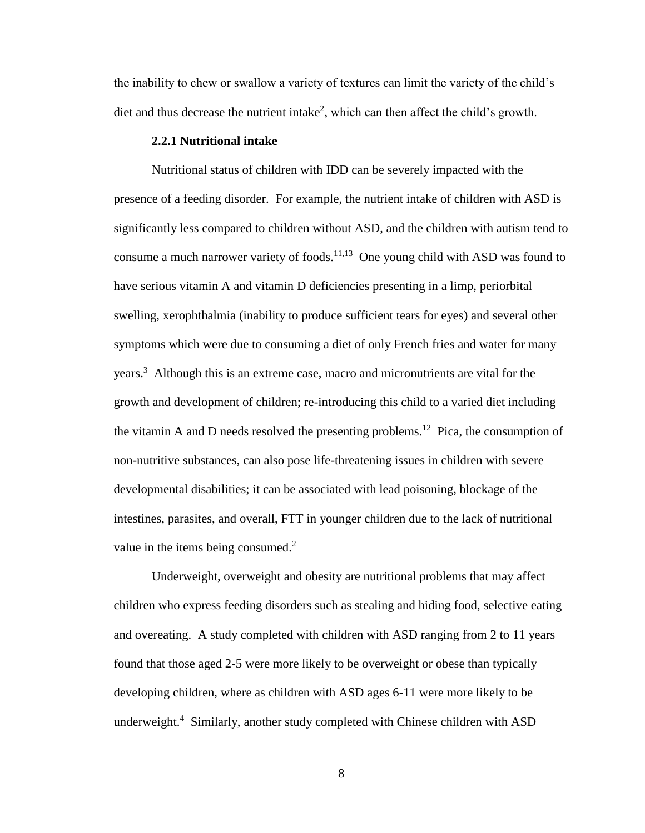the inability to chew or swallow a variety of textures can limit the variety of the child's diet and thus decrease the nutrient intake<sup>2</sup>, which can then affect the child's growth.

#### **2.2.1 Nutritional intake**

Nutritional status of children with IDD can be severely impacted with the presence of a feeding disorder. For example, the nutrient intake of children with ASD is significantly less compared to children without ASD, and the children with autism tend to consume a much narrower variety of foods.<sup>11,13</sup> One young child with ASD was found to have serious vitamin A and vitamin D deficiencies presenting in a limp, periorbital swelling, xerophthalmia (inability to produce sufficient tears for eyes) and several other symptoms which were due to consuming a diet of only French fries and water for many years. <sup>3</sup> Although this is an extreme case, macro and micronutrients are vital for the growth and development of children; re-introducing this child to a varied diet including the vitamin A and D needs resolved the presenting problems.<sup>12</sup> Pica, the consumption of non-nutritive substances, can also pose life-threatening issues in children with severe developmental disabilities; it can be associated with lead poisoning, blockage of the intestines, parasites, and overall, FTT in younger children due to the lack of nutritional value in the items being consumed.<sup>2</sup>

Underweight, overweight and obesity are nutritional problems that may affect children who express feeding disorders such as stealing and hiding food, selective eating and overeating. A study completed with children with ASD ranging from 2 to 11 years found that those aged 2-5 were more likely to be overweight or obese than typically developing children, where as children with ASD ages 6-11 were more likely to be underweight. <sup>4</sup> Similarly, another study completed with Chinese children with ASD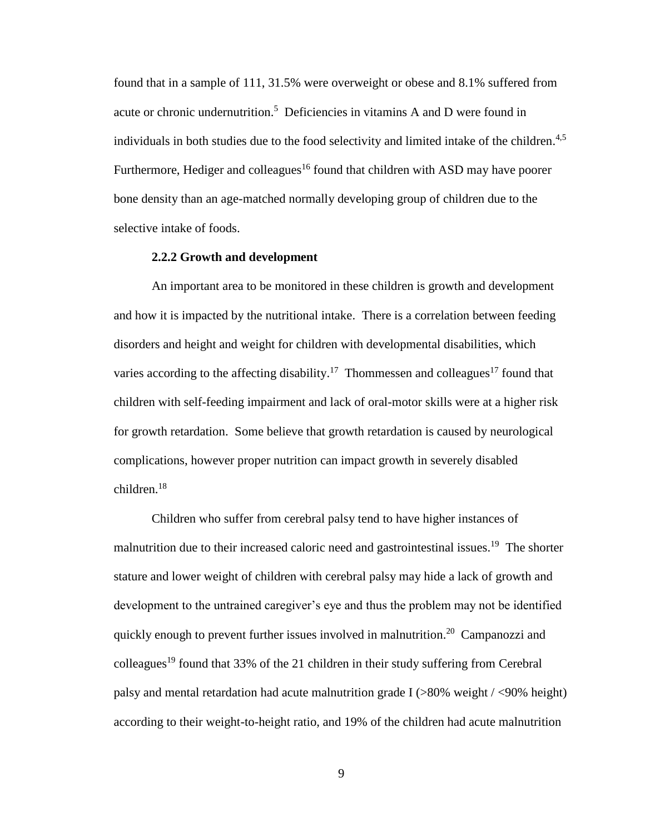found that in a sample of 111, 31.5% were overweight or obese and 8.1% suffered from acute or chronic undernutrition. <sup>5</sup> Deficiencies in vitamins A and D were found in individuals in both studies due to the food selectivity and limited intake of the children.<sup>4,5</sup> Furthermore, Hediger and colleagues<sup>16</sup> found that children with ASD may have poorer bone density than an age-matched normally developing group of children due to the selective intake of foods.

#### **2.2.2 Growth and development**

An important area to be monitored in these children is growth and development and how it is impacted by the nutritional intake. There is a correlation between feeding disorders and height and weight for children with developmental disabilities, which varies according to the affecting disability.<sup>17</sup> Thommessen and colleagues<sup>17</sup> found that children with self-feeding impairment and lack of oral-motor skills were at a higher risk for growth retardation. Some believe that growth retardation is caused by neurological complications, however proper nutrition can impact growth in severely disabled children. 18

Children who suffer from cerebral palsy tend to have higher instances of malnutrition due to their increased caloric need and gastrointestinal issues.<sup>19</sup> The shorter stature and lower weight of children with cerebral palsy may hide a lack of growth and development to the untrained caregiver's eye and thus the problem may not be identified quickly enough to prevent further issues involved in malnutrition.<sup>20</sup> Campanozzi and colleagues<sup>19</sup> found that 33% of the 21 children in their study suffering from Cerebral palsy and mental retardation had acute malnutrition grade I (>80% weight / <90% height) according to their weight-to-height ratio, and 19% of the children had acute malnutrition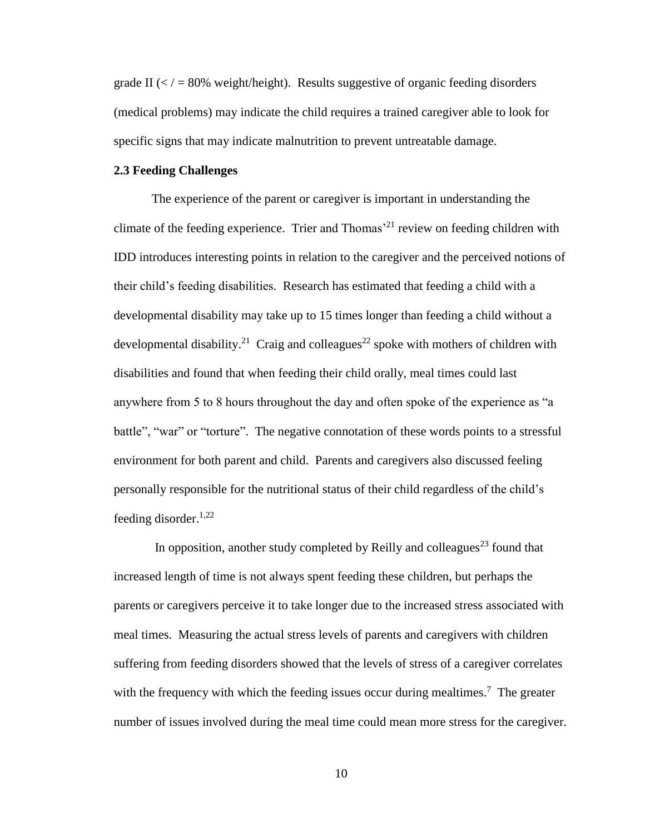grade II  $\ll$  / = 80% weight/height). Results suggestive of organic feeding disorders (medical problems) may indicate the child requires a trained caregiver able to look for specific signs that may indicate malnutrition to prevent untreatable damage.

#### **2.3 Feeding Challenges**

The experience of the parent or caregiver is important in understanding the climate of the feeding experience. Trier and Thomas<sup> $21$ </sup> review on feeding children with IDD introduces interesting points in relation to the caregiver and the perceived notions of their child's feeding disabilities. Research has estimated that feeding a child with a developmental disability may take up to 15 times longer than feeding a child without a developmental disability.<sup>21</sup> Craig and colleagues<sup>22</sup> spoke with mothers of children with disabilities and found that when feeding their child orally, meal times could last anywhere from 5 to 8 hours throughout the day and often spoke of the experience as "a battle", "war" or "torture". The negative connotation of these words points to a stressful environment for both parent and child. Parents and caregivers also discussed feeling personally responsible for the nutritional status of their child regardless of the child's feeding disorder. $1,22$ 

In opposition, another study completed by Reilly and colleagues<sup>23</sup> found that increased length of time is not always spent feeding these children, but perhaps the parents or caregivers perceive it to take longer due to the increased stress associated with meal times. Measuring the actual stress levels of parents and caregivers with children suffering from feeding disorders showed that the levels of stress of a caregiver correlates with the frequency with which the feeding issues occur during mealtimes.<sup>7</sup> The greater number of issues involved during the meal time could mean more stress for the caregiver.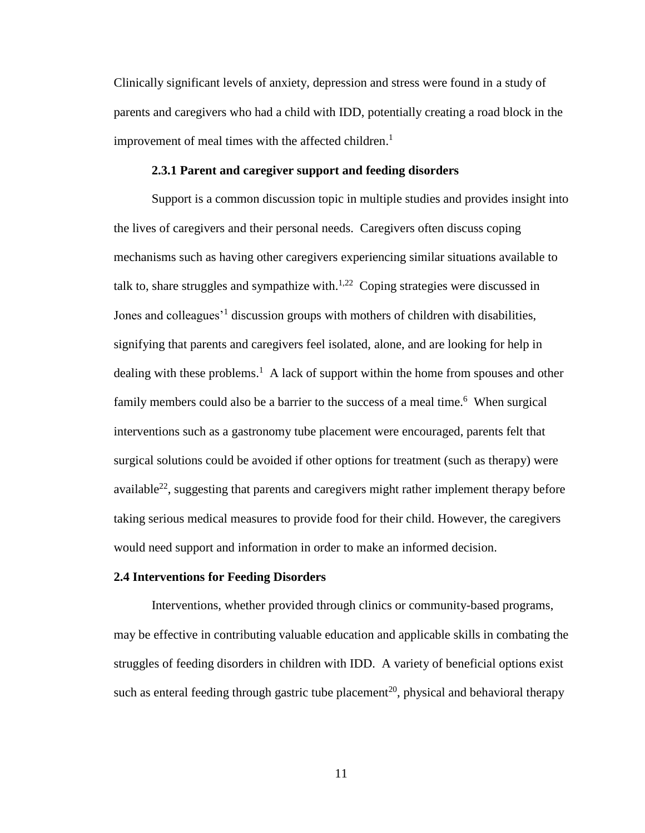Clinically significant levels of anxiety, depression and stress were found in a study of parents and caregivers who had a child with IDD, potentially creating a road block in the improvement of meal times with the affected children.<sup>1</sup>

#### **2.3.1 Parent and caregiver support and feeding disorders**

Support is a common discussion topic in multiple studies and provides insight into the lives of caregivers and their personal needs. Caregivers often discuss coping mechanisms such as having other caregivers experiencing similar situations available to talk to, share struggles and sympathize with. $1,22$  Coping strategies were discussed in Jones and colleagues<sup>'1</sup> discussion groups with mothers of children with disabilities, signifying that parents and caregivers feel isolated, alone, and are looking for help in dealing with these problems.<sup>1</sup> A lack of support within the home from spouses and other family members could also be a barrier to the success of a meal time.<sup>6</sup> When surgical interventions such as a gastronomy tube placement were encouraged, parents felt that surgical solutions could be avoided if other options for treatment (such as therapy) were available<sup>22</sup>, suggesting that parents and caregivers might rather implement therapy before taking serious medical measures to provide food for their child. However, the caregivers would need support and information in order to make an informed decision.

#### **2.4 Interventions for Feeding Disorders**

Interventions, whether provided through clinics or community-based programs, may be effective in contributing valuable education and applicable skills in combating the struggles of feeding disorders in children with IDD. A variety of beneficial options exist such as enteral feeding through gastric tube placement<sup>20</sup>, physical and behavioral therapy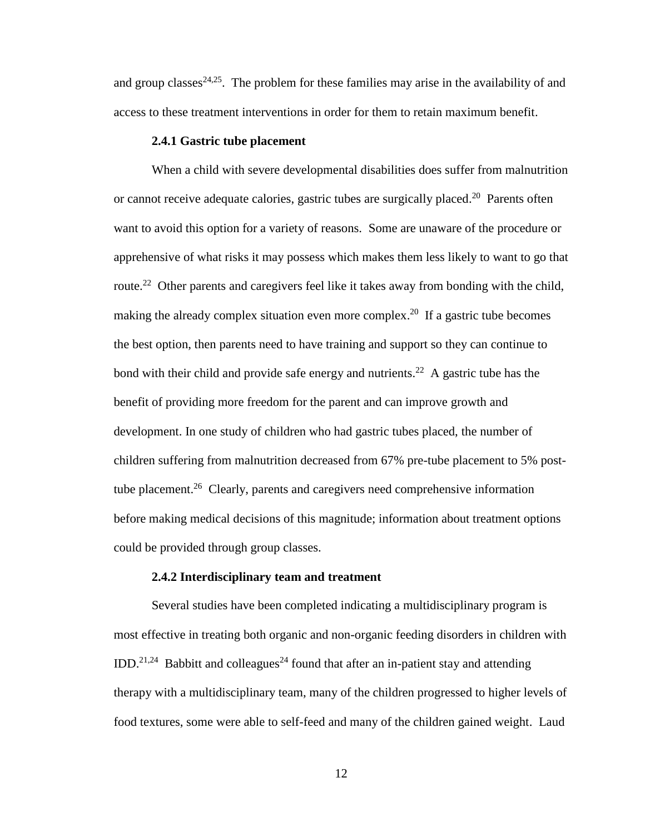and group classes $24,25$ . The problem for these families may arise in the availability of and access to these treatment interventions in order for them to retain maximum benefit.

#### **2.4.1 Gastric tube placement**

When a child with severe developmental disabilities does suffer from malnutrition or cannot receive adequate calories, gastric tubes are surgically placed.<sup>20</sup> Parents often want to avoid this option for a variety of reasons. Some are unaware of the procedure or apprehensive of what risks it may possess which makes them less likely to want to go that route.<sup>22</sup> Other parents and caregivers feel like it takes away from bonding with the child, making the already complex situation even more complex.<sup>20</sup> If a gastric tube becomes the best option, then parents need to have training and support so they can continue to bond with their child and provide safe energy and nutrients.<sup>22</sup> A gastric tube has the benefit of providing more freedom for the parent and can improve growth and development. In one study of children who had gastric tubes placed, the number of children suffering from malnutrition decreased from 67% pre-tube placement to 5% posttube placement.<sup>26</sup> Clearly, parents and caregivers need comprehensive information before making medical decisions of this magnitude; information about treatment options could be provided through group classes.

#### **2.4.2 Interdisciplinary team and treatment**

Several studies have been completed indicating a multidisciplinary program is most effective in treating both organic and non-organic feeding disorders in children with IDD.<sup>21,24</sup> Babbitt and colleagues<sup>24</sup> found that after an in-patient stay and attending therapy with a multidisciplinary team, many of the children progressed to higher levels of food textures, some were able to self-feed and many of the children gained weight. Laud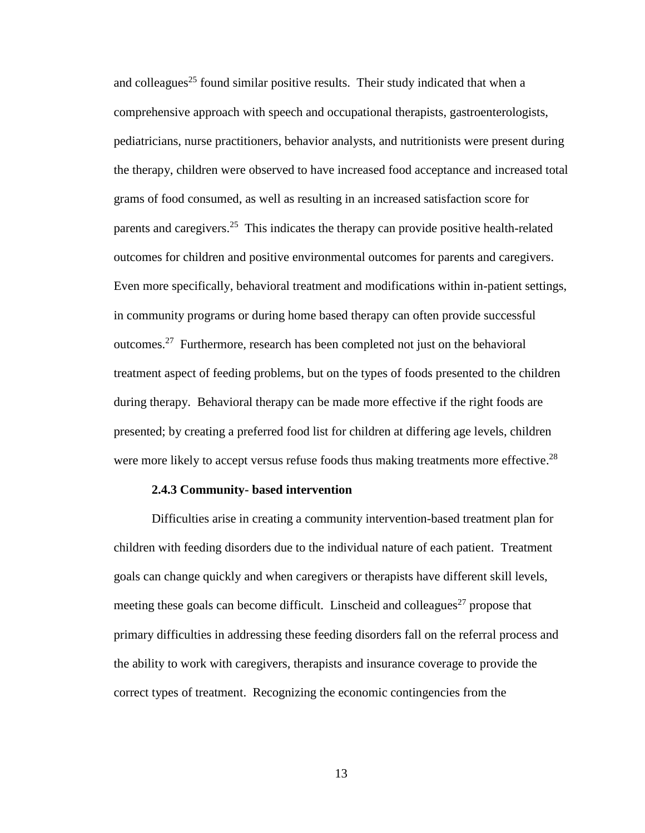and colleagues<sup>25</sup> found similar positive results. Their study indicated that when a comprehensive approach with speech and occupational therapists, gastroenterologists, pediatricians, nurse practitioners, behavior analysts, and nutritionists were present during the therapy, children were observed to have increased food acceptance and increased total grams of food consumed, as well as resulting in an increased satisfaction score for parents and caregivers.<sup>25</sup> This indicates the therapy can provide positive health-related outcomes for children and positive environmental outcomes for parents and caregivers. Even more specifically, behavioral treatment and modifications within in-patient settings, in community programs or during home based therapy can often provide successful outcomes.<sup>27</sup> Furthermore, research has been completed not just on the behavioral treatment aspect of feeding problems, but on the types of foods presented to the children during therapy. Behavioral therapy can be made more effective if the right foods are presented; by creating a preferred food list for children at differing age levels, children were more likely to accept versus refuse foods thus making treatments more effective.<sup>28</sup>

#### **2.4.3 Community- based intervention**

Difficulties arise in creating a community intervention-based treatment plan for children with feeding disorders due to the individual nature of each patient. Treatment goals can change quickly and when caregivers or therapists have different skill levels, meeting these goals can become difficult. Linscheid and colleagues<sup>27</sup> propose that primary difficulties in addressing these feeding disorders fall on the referral process and the ability to work with caregivers, therapists and insurance coverage to provide the correct types of treatment. Recognizing the economic contingencies from the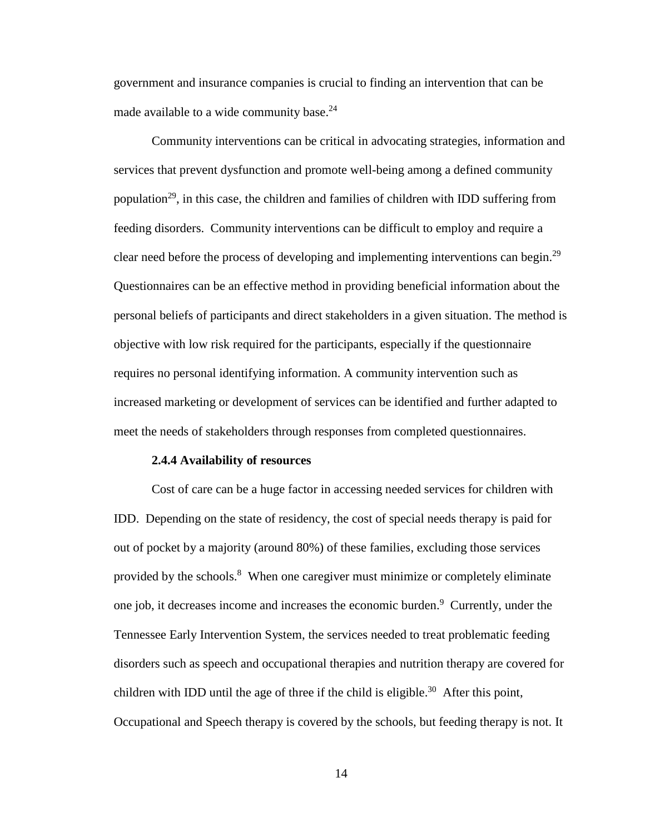government and insurance companies is crucial to finding an intervention that can be made available to a wide community base.<sup>24</sup>

Community interventions can be critical in advocating strategies, information and services that prevent dysfunction and promote well-being among a defined community population<sup>29</sup>, in this case, the children and families of children with IDD suffering from feeding disorders. Community interventions can be difficult to employ and require a clear need before the process of developing and implementing interventions can begin.<sup>29</sup> Questionnaires can be an effective method in providing beneficial information about the personal beliefs of participants and direct stakeholders in a given situation. The method is objective with low risk required for the participants, especially if the questionnaire requires no personal identifying information. A community intervention such as increased marketing or development of services can be identified and further adapted to meet the needs of stakeholders through responses from completed questionnaires.

#### **2.4.4 Availability of resources**

Cost of care can be a huge factor in accessing needed services for children with IDD. Depending on the state of residency, the cost of special needs therapy is paid for out of pocket by a majority (around 80%) of these families, excluding those services provided by the schools.<sup>8</sup> When one caregiver must minimize or completely eliminate one job, it decreases income and increases the economic burden. <sup>9</sup> Currently, under the Tennessee Early Intervention System, the services needed to treat problematic feeding disorders such as speech and occupational therapies and nutrition therapy are covered for children with IDD until the age of three if the child is eligible.<sup>30</sup> After this point, Occupational and Speech therapy is covered by the schools, but feeding therapy is not. It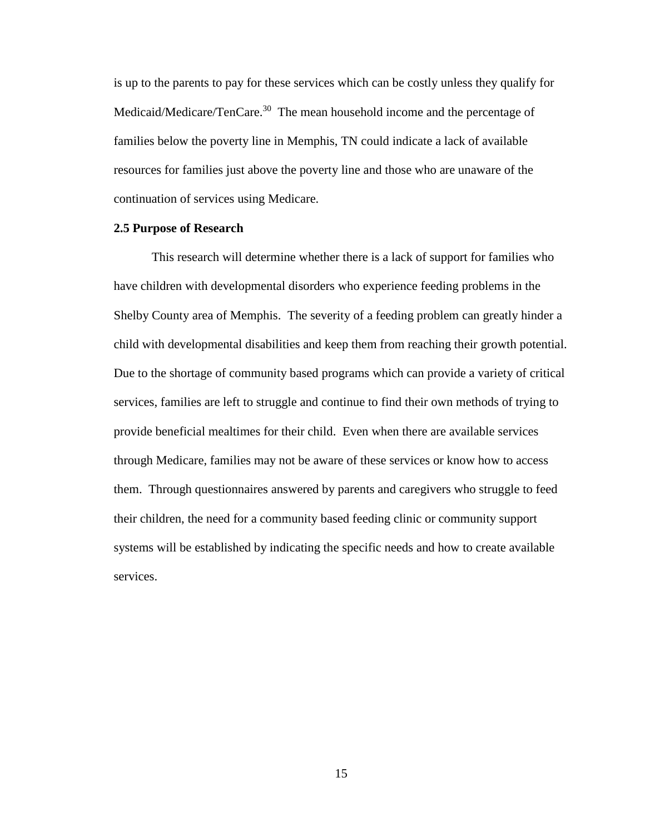is up to the parents to pay for these services which can be costly unless they qualify for Medicaid/Medicare/TenCare.<sup>30</sup> The mean household income and the percentage of families below the poverty line in Memphis, TN could indicate a lack of available resources for families just above the poverty line and those who are unaware of the continuation of services using Medicare.

#### **2.5 Purpose of Research**

This research will determine whether there is a lack of support for families who have children with developmental disorders who experience feeding problems in the Shelby County area of Memphis. The severity of a feeding problem can greatly hinder a child with developmental disabilities and keep them from reaching their growth potential. Due to the shortage of community based programs which can provide a variety of critical services, families are left to struggle and continue to find their own methods of trying to provide beneficial mealtimes for their child. Even when there are available services through Medicare, families may not be aware of these services or know how to access them. Through questionnaires answered by parents and caregivers who struggle to feed their children, the need for a community based feeding clinic or community support systems will be established by indicating the specific needs and how to create available services.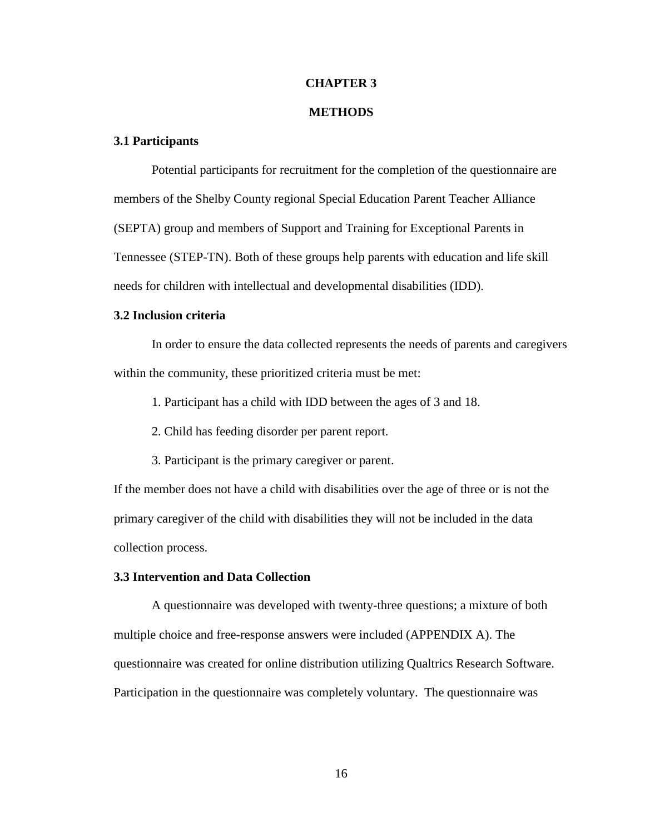#### **CHAPTER 3**

#### **METHODS**

#### **3.1 Participants**

Potential participants for recruitment for the completion of the questionnaire are members of the Shelby County regional Special Education Parent Teacher Alliance (SEPTA) group and members of Support and Training for Exceptional Parents in Tennessee (STEP-TN). Both of these groups help parents with education and life skill needs for children with intellectual and developmental disabilities (IDD).

#### **3.2 Inclusion criteria**

In order to ensure the data collected represents the needs of parents and caregivers within the community, these prioritized criteria must be met:

1. Participant has a child with IDD between the ages of 3 and 18.

- 2. Child has feeding disorder per parent report.
- 3. Participant is the primary caregiver or parent.

If the member does not have a child with disabilities over the age of three or is not the primary caregiver of the child with disabilities they will not be included in the data collection process.

#### **3.3 Intervention and Data Collection**

A questionnaire was developed with twenty-three questions; a mixture of both multiple choice and free-response answers were included (APPENDIX A). The questionnaire was created for online distribution utilizing Qualtrics Research Software. Participation in the questionnaire was completely voluntary. The questionnaire was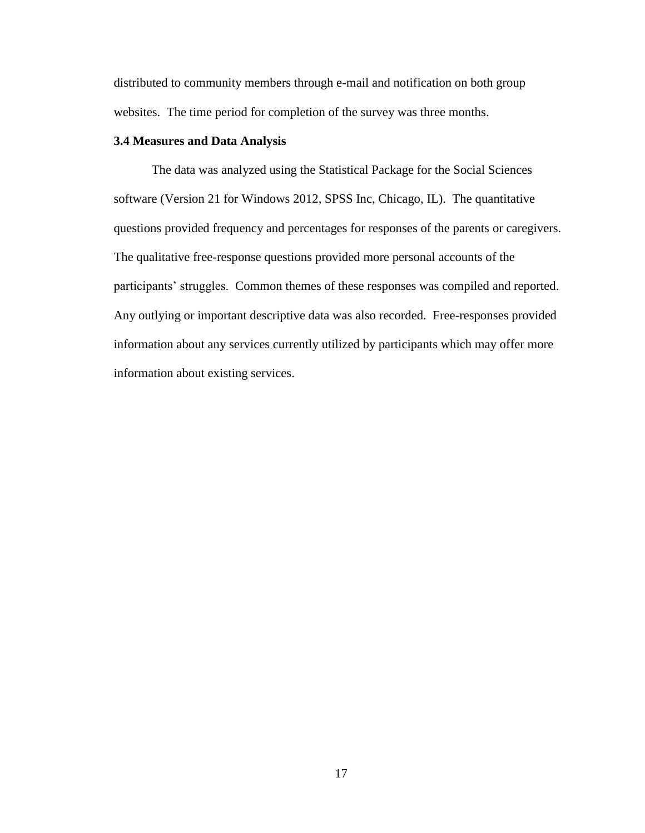distributed to community members through e-mail and notification on both group websites. The time period for completion of the survey was three months.

#### **3.4 Measures and Data Analysis**

The data was analyzed using the Statistical Package for the Social Sciences software (Version 21 for Windows 2012, SPSS Inc, Chicago, IL). The quantitative questions provided frequency and percentages for responses of the parents or caregivers. The qualitative free-response questions provided more personal accounts of the participants' struggles. Common themes of these responses was compiled and reported. Any outlying or important descriptive data was also recorded. Free-responses provided information about any services currently utilized by participants which may offer more information about existing services.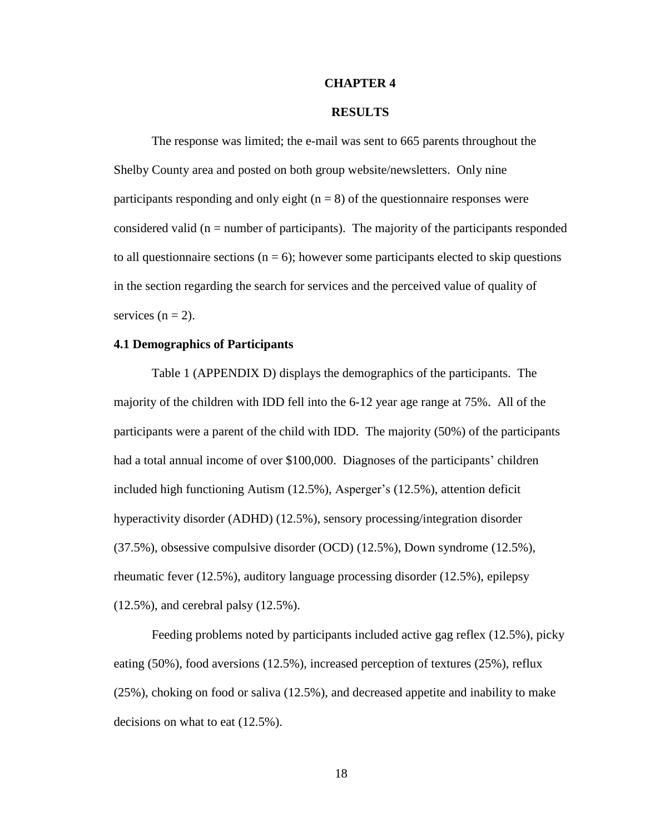#### **CHAPTER 4**

#### **RESULTS**

The response was limited; the e-mail was sent to 665 parents throughout the Shelby County area and posted on both group website/newsletters. Only nine participants responding and only eight  $(n = 8)$  of the questionnaire responses were considered valid ( $n =$  number of participants). The majority of the participants responded to all questionnaire sections ( $n = 6$ ); however some participants elected to skip questions in the section regarding the search for services and the perceived value of quality of services  $(n = 2)$ .

#### **4.1 Demographics of Participants**

Table 1 (APPENDIX D) displays the demographics of the participants. The majority of the children with IDD fell into the 6-12 year age range at 75%. All of the participants were a parent of the child with IDD. The majority (50%) of the participants had a total annual income of over \$100,000. Diagnoses of the participants' children included high functioning Autism (12.5%), Asperger's (12.5%), attention deficit hyperactivity disorder (ADHD) (12.5%), sensory processing/integration disorder (37.5%), obsessive compulsive disorder (OCD) (12.5%), Down syndrome (12.5%), rheumatic fever (12.5%), auditory language processing disorder (12.5%), epilepsy (12.5%), and cerebral palsy (12.5%).

Feeding problems noted by participants included active gag reflex (12.5%), picky eating (50%), food aversions (12.5%), increased perception of textures (25%), reflux (25%), choking on food or saliva (12.5%), and decreased appetite and inability to make decisions on what to eat (12.5%).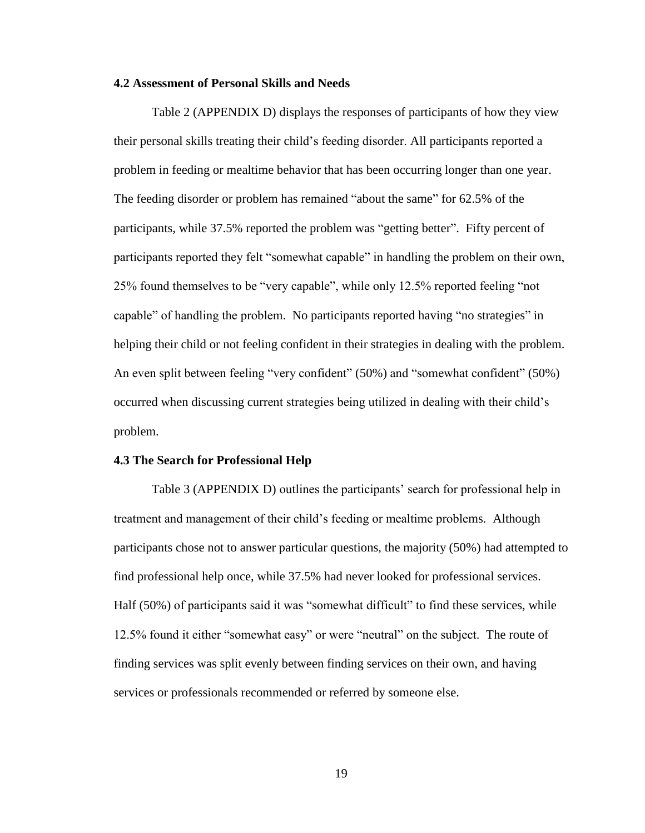#### **4.2 Assessment of Personal Skills and Needs**

Table 2 (APPENDIX D) displays the responses of participants of how they view their personal skills treating their child's feeding disorder. All participants reported a problem in feeding or mealtime behavior that has been occurring longer than one year. The feeding disorder or problem has remained "about the same" for 62.5% of the participants, while 37.5% reported the problem was "getting better". Fifty percent of participants reported they felt "somewhat capable" in handling the problem on their own, 25% found themselves to be "very capable", while only 12.5% reported feeling "not capable" of handling the problem. No participants reported having "no strategies" in helping their child or not feeling confident in their strategies in dealing with the problem. An even split between feeling "very confident" (50%) and "somewhat confident" (50%) occurred when discussing current strategies being utilized in dealing with their child's problem.

#### **4.3 The Search for Professional Help**

Table 3 (APPENDIX D) outlines the participants' search for professional help in treatment and management of their child's feeding or mealtime problems. Although participants chose not to answer particular questions, the majority (50%) had attempted to find professional help once, while 37.5% had never looked for professional services. Half (50%) of participants said it was "somewhat difficult" to find these services, while 12.5% found it either "somewhat easy" or were "neutral" on the subject. The route of finding services was split evenly between finding services on their own, and having services or professionals recommended or referred by someone else.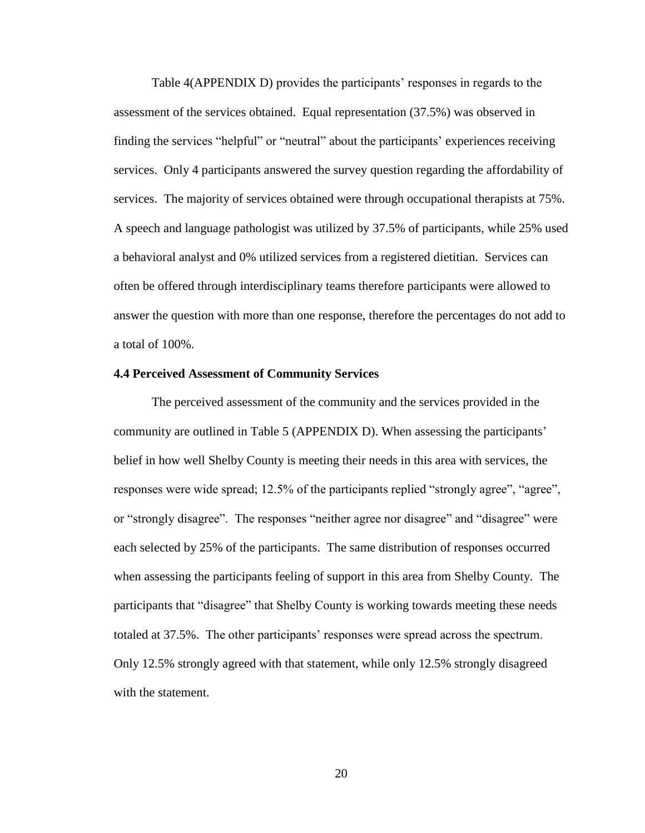Table 4(APPENDIX D) provides the participants' responses in regards to the assessment of the services obtained. Equal representation (37.5%) was observed in finding the services "helpful" or "neutral" about the participants' experiences receiving services. Only 4 participants answered the survey question regarding the affordability of services. The majority of services obtained were through occupational therapists at 75%. A speech and language pathologist was utilized by 37.5% of participants, while 25% used a behavioral analyst and 0% utilized services from a registered dietitian. Services can often be offered through interdisciplinary teams therefore participants were allowed to answer the question with more than one response, therefore the percentages do not add to a total of 100%.

#### **4.4 Perceived Assessment of Community Services**

The perceived assessment of the community and the services provided in the community are outlined in Table 5 (APPENDIX D). When assessing the participants' belief in how well Shelby County is meeting their needs in this area with services, the responses were wide spread; 12.5% of the participants replied "strongly agree", "agree", or "strongly disagree". The responses "neither agree nor disagree" and "disagree" were each selected by 25% of the participants. The same distribution of responses occurred when assessing the participants feeling of support in this area from Shelby County. The participants that "disagree" that Shelby County is working towards meeting these needs totaled at 37.5%. The other participants' responses were spread across the spectrum. Only 12.5% strongly agreed with that statement, while only 12.5% strongly disagreed with the statement.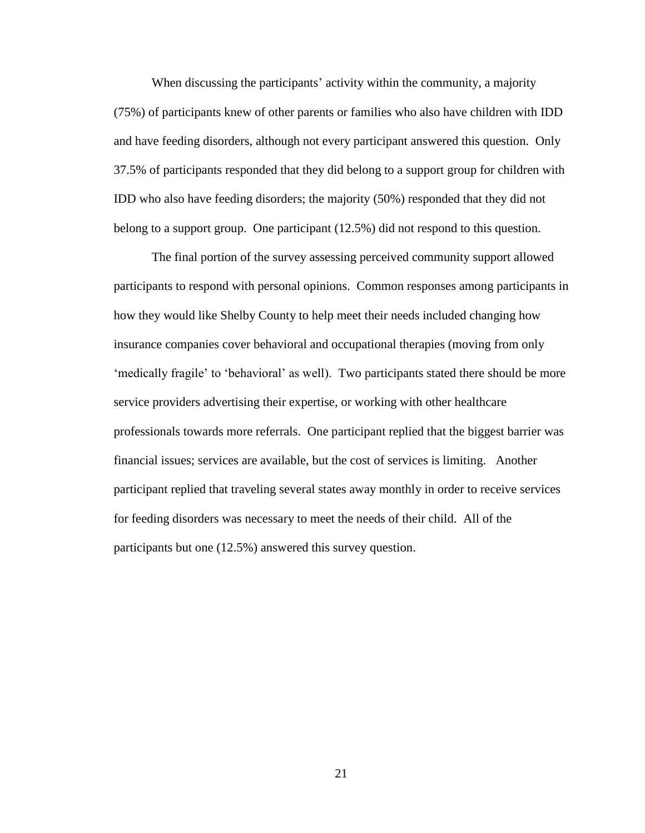When discussing the participants' activity within the community, a majority (75%) of participants knew of other parents or families who also have children with IDD and have feeding disorders, although not every participant answered this question. Only 37.5% of participants responded that they did belong to a support group for children with IDD who also have feeding disorders; the majority (50%) responded that they did not belong to a support group. One participant (12.5%) did not respond to this question.

The final portion of the survey assessing perceived community support allowed participants to respond with personal opinions. Common responses among participants in how they would like Shelby County to help meet their needs included changing how insurance companies cover behavioral and occupational therapies (moving from only 'medically fragile' to 'behavioral' as well). Two participants stated there should be more service providers advertising their expertise, or working with other healthcare professionals towards more referrals. One participant replied that the biggest barrier was financial issues; services are available, but the cost of services is limiting. Another participant replied that traveling several states away monthly in order to receive services for feeding disorders was necessary to meet the needs of their child. All of the participants but one (12.5%) answered this survey question.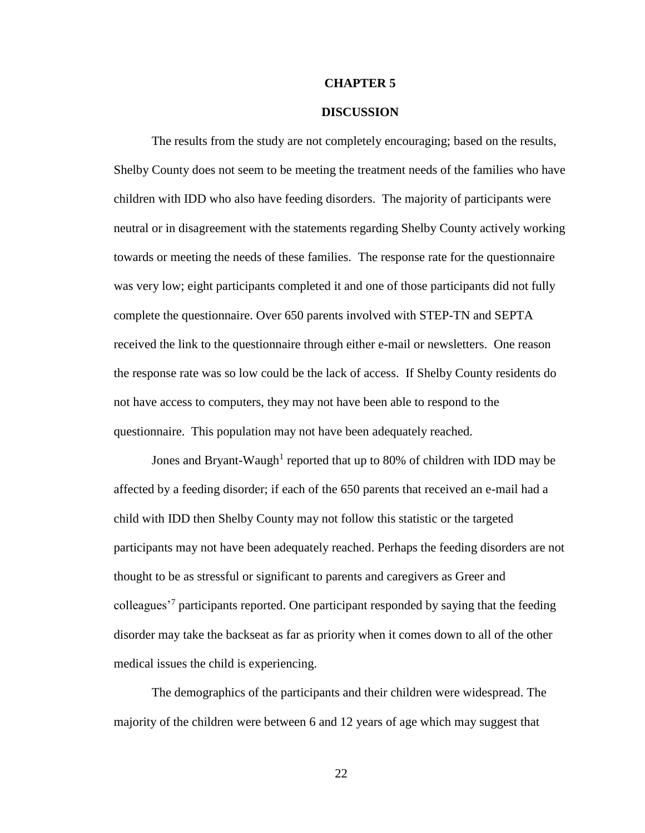#### **CHAPTER 5**

#### **DISCUSSION**

The results from the study are not completely encouraging; based on the results, Shelby County does not seem to be meeting the treatment needs of the families who have children with IDD who also have feeding disorders. The majority of participants were neutral or in disagreement with the statements regarding Shelby County actively working towards or meeting the needs of these families. The response rate for the questionnaire was very low; eight participants completed it and one of those participants did not fully complete the questionnaire. Over 650 parents involved with STEP-TN and SEPTA received the link to the questionnaire through either e-mail or newsletters. One reason the response rate was so low could be the lack of access. If Shelby County residents do not have access to computers, they may not have been able to respond to the questionnaire. This population may not have been adequately reached.

Jones and Bryant-Waugh<sup>1</sup> reported that up to 80% of children with IDD may be affected by a feeding disorder; if each of the 650 parents that received an e-mail had a child with IDD then Shelby County may not follow this statistic or the targeted participants may not have been adequately reached. Perhaps the feeding disorders are not thought to be as stressful or significant to parents and caregivers as Greer and colleagues<sup>7</sup> participants reported. One participant responded by saying that the feeding disorder may take the backseat as far as priority when it comes down to all of the other medical issues the child is experiencing.

The demographics of the participants and their children were widespread. The majority of the children were between 6 and 12 years of age which may suggest that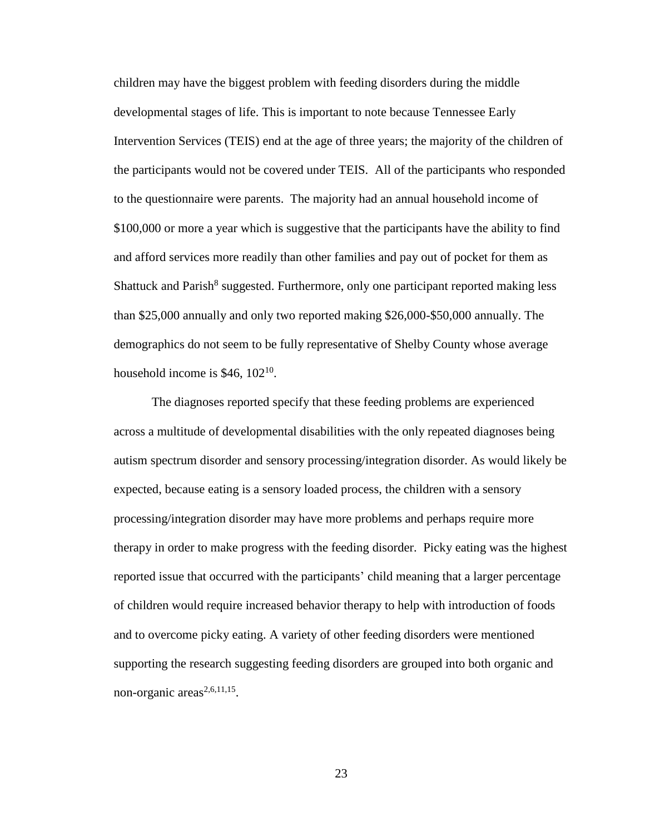children may have the biggest problem with feeding disorders during the middle developmental stages of life. This is important to note because Tennessee Early Intervention Services (TEIS) end at the age of three years; the majority of the children of the participants would not be covered under TEIS. All of the participants who responded to the questionnaire were parents. The majority had an annual household income of \$100,000 or more a year which is suggestive that the participants have the ability to find and afford services more readily than other families and pay out of pocket for them as Shattuck and Parish<sup>8</sup> suggested. Furthermore, only one participant reported making less than \$25,000 annually and only two reported making \$26,000-\$50,000 annually. The demographics do not seem to be fully representative of Shelby County whose average household income is  $$46, 102^{10}$ .

The diagnoses reported specify that these feeding problems are experienced across a multitude of developmental disabilities with the only repeated diagnoses being autism spectrum disorder and sensory processing/integration disorder. As would likely be expected, because eating is a sensory loaded process, the children with a sensory processing/integration disorder may have more problems and perhaps require more therapy in order to make progress with the feeding disorder. Picky eating was the highest reported issue that occurred with the participants' child meaning that a larger percentage of children would require increased behavior therapy to help with introduction of foods and to overcome picky eating. A variety of other feeding disorders were mentioned supporting the research suggesting feeding disorders are grouped into both organic and non-organic  $\arccos^{2,6,11,15}$ .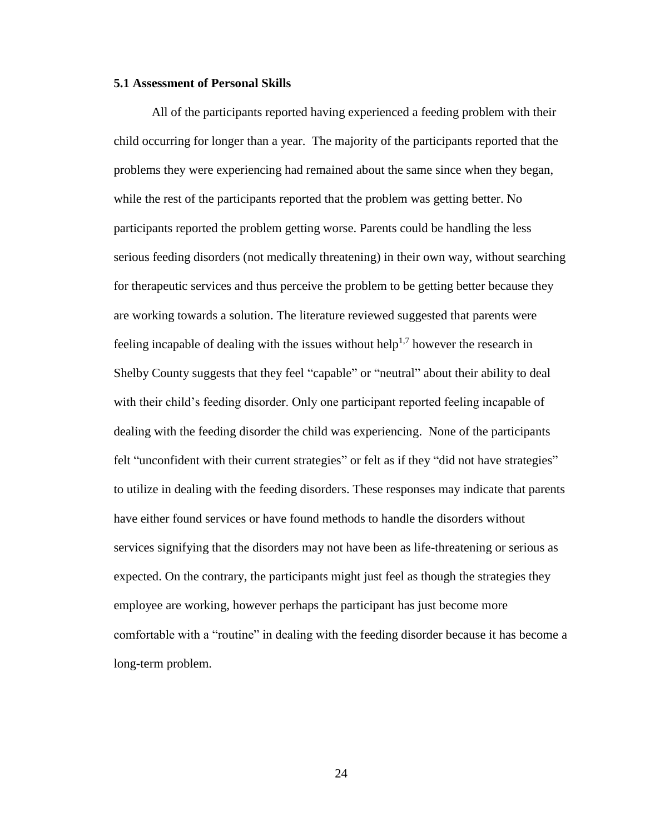#### **5.1 Assessment of Personal Skills**

All of the participants reported having experienced a feeding problem with their child occurring for longer than a year. The majority of the participants reported that the problems they were experiencing had remained about the same since when they began, while the rest of the participants reported that the problem was getting better. No participants reported the problem getting worse. Parents could be handling the less serious feeding disorders (not medically threatening) in their own way, without searching for therapeutic services and thus perceive the problem to be getting better because they are working towards a solution. The literature reviewed suggested that parents were feeling incapable of dealing with the issues without help<sup>1,7</sup> however the research in Shelby County suggests that they feel "capable" or "neutral" about their ability to deal with their child's feeding disorder. Only one participant reported feeling incapable of dealing with the feeding disorder the child was experiencing. None of the participants felt "unconfident with their current strategies" or felt as if they "did not have strategies" to utilize in dealing with the feeding disorders. These responses may indicate that parents have either found services or have found methods to handle the disorders without services signifying that the disorders may not have been as life-threatening or serious as expected. On the contrary, the participants might just feel as though the strategies they employee are working, however perhaps the participant has just become more comfortable with a "routine" in dealing with the feeding disorder because it has become a long-term problem.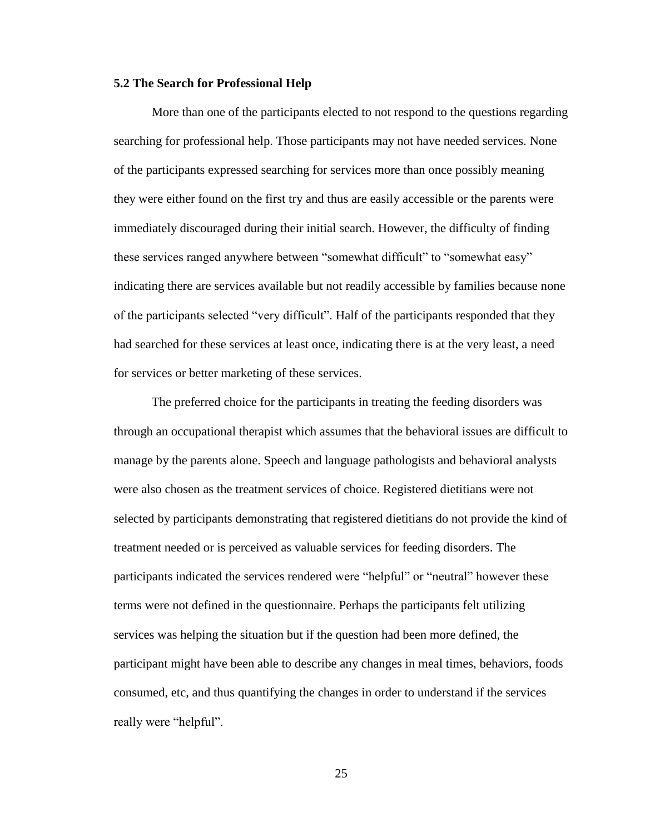#### **5.2 The Search for Professional Help**

More than one of the participants elected to not respond to the questions regarding searching for professional help. Those participants may not have needed services. None of the participants expressed searching for services more than once possibly meaning they were either found on the first try and thus are easily accessible or the parents were immediately discouraged during their initial search. However, the difficulty of finding these services ranged anywhere between "somewhat difficult" to "somewhat easy" indicating there are services available but not readily accessible by families because none of the participants selected "very difficult". Half of the participants responded that they had searched for these services at least once, indicating there is at the very least, a need for services or better marketing of these services.

The preferred choice for the participants in treating the feeding disorders was through an occupational therapist which assumes that the behavioral issues are difficult to manage by the parents alone. Speech and language pathologists and behavioral analysts were also chosen as the treatment services of choice. Registered dietitians were not selected by participants demonstrating that registered dietitians do not provide the kind of treatment needed or is perceived as valuable services for feeding disorders. The participants indicated the services rendered were "helpful" or "neutral" however these terms were not defined in the questionnaire. Perhaps the participants felt utilizing services was helping the situation but if the question had been more defined, the participant might have been able to describe any changes in meal times, behaviors, foods consumed, etc, and thus quantifying the changes in order to understand if the services really were "helpful".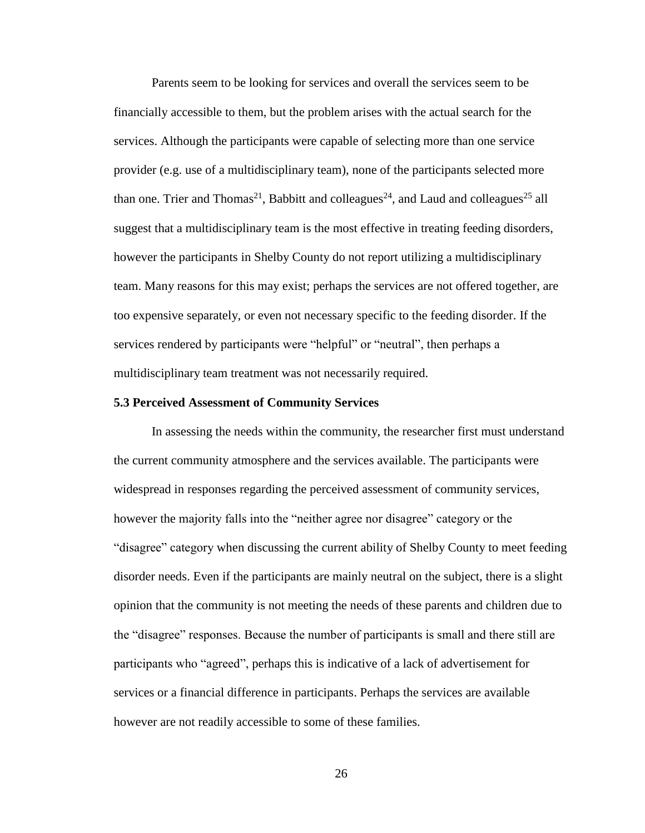Parents seem to be looking for services and overall the services seem to be financially accessible to them, but the problem arises with the actual search for the services. Although the participants were capable of selecting more than one service provider (e.g. use of a multidisciplinary team), none of the participants selected more than one. Trier and Thomas<sup>21</sup>, Babbitt and colleagues<sup>24</sup>, and Laud and colleagues<sup>25</sup> all suggest that a multidisciplinary team is the most effective in treating feeding disorders, however the participants in Shelby County do not report utilizing a multidisciplinary team. Many reasons for this may exist; perhaps the services are not offered together, are too expensive separately, or even not necessary specific to the feeding disorder. If the services rendered by participants were "helpful" or "neutral", then perhaps a multidisciplinary team treatment was not necessarily required.

#### **5.3 Perceived Assessment of Community Services**

In assessing the needs within the community, the researcher first must understand the current community atmosphere and the services available. The participants were widespread in responses regarding the perceived assessment of community services, however the majority falls into the "neither agree nor disagree" category or the "disagree" category when discussing the current ability of Shelby County to meet feeding disorder needs. Even if the participants are mainly neutral on the subject, there is a slight opinion that the community is not meeting the needs of these parents and children due to the "disagree" responses. Because the number of participants is small and there still are participants who "agreed", perhaps this is indicative of a lack of advertisement for services or a financial difference in participants. Perhaps the services are available however are not readily accessible to some of these families.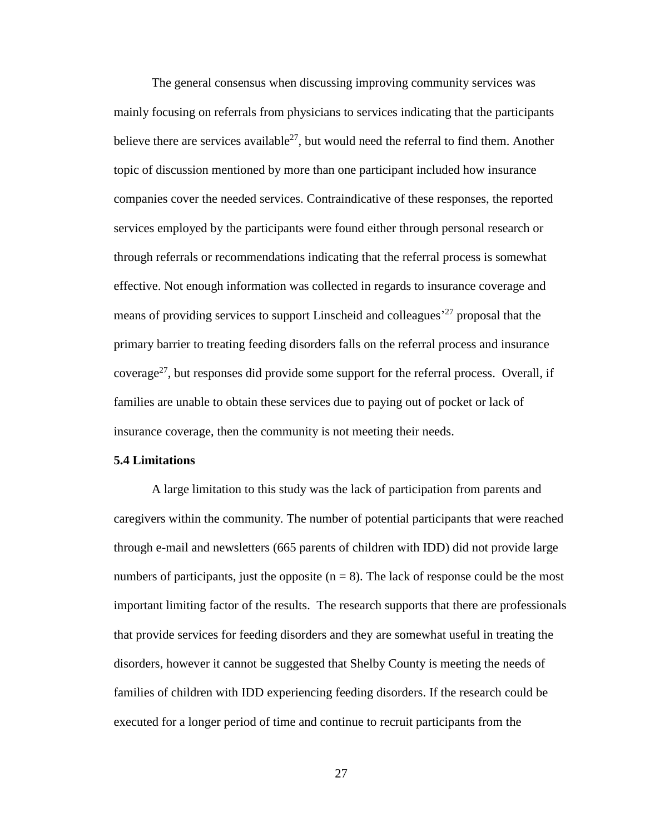The general consensus when discussing improving community services was mainly focusing on referrals from physicians to services indicating that the participants believe there are services available<sup>27</sup>, but would need the referral to find them. Another topic of discussion mentioned by more than one participant included how insurance companies cover the needed services. Contraindicative of these responses, the reported services employed by the participants were found either through personal research or through referrals or recommendations indicating that the referral process is somewhat effective. Not enough information was collected in regards to insurance coverage and means of providing services to support Linscheid and colleagues<sup>27</sup> proposal that the primary barrier to treating feeding disorders falls on the referral process and insurance coverage<sup>27</sup>, but responses did provide some support for the referral process. Overall, if families are unable to obtain these services due to paying out of pocket or lack of insurance coverage, then the community is not meeting their needs.

#### **5.4 Limitations**

A large limitation to this study was the lack of participation from parents and caregivers within the community. The number of potential participants that were reached through e-mail and newsletters (665 parents of children with IDD) did not provide large numbers of participants, just the opposite  $(n = 8)$ . The lack of response could be the most important limiting factor of the results. The research supports that there are professionals that provide services for feeding disorders and they are somewhat useful in treating the disorders, however it cannot be suggested that Shelby County is meeting the needs of families of children with IDD experiencing feeding disorders. If the research could be executed for a longer period of time and continue to recruit participants from the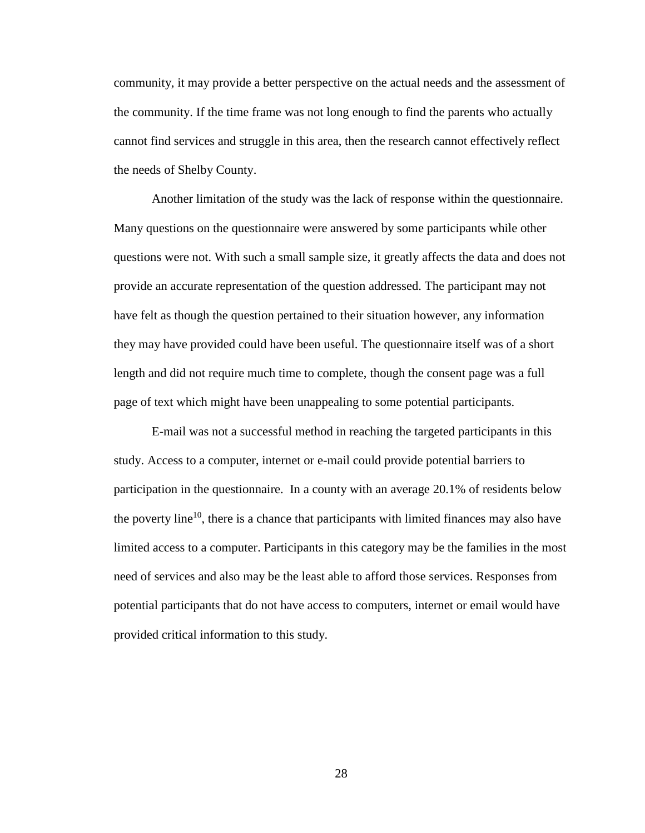community, it may provide a better perspective on the actual needs and the assessment of the community. If the time frame was not long enough to find the parents who actually cannot find services and struggle in this area, then the research cannot effectively reflect the needs of Shelby County.

Another limitation of the study was the lack of response within the questionnaire. Many questions on the questionnaire were answered by some participants while other questions were not. With such a small sample size, it greatly affects the data and does not provide an accurate representation of the question addressed. The participant may not have felt as though the question pertained to their situation however, any information they may have provided could have been useful. The questionnaire itself was of a short length and did not require much time to complete, though the consent page was a full page of text which might have been unappealing to some potential participants.

E-mail was not a successful method in reaching the targeted participants in this study. Access to a computer, internet or e-mail could provide potential barriers to participation in the questionnaire. In a county with an average 20.1% of residents below the poverty line<sup>10</sup>, there is a chance that participants with limited finances may also have limited access to a computer. Participants in this category may be the families in the most need of services and also may be the least able to afford those services. Responses from potential participants that do not have access to computers, internet or email would have provided critical information to this study.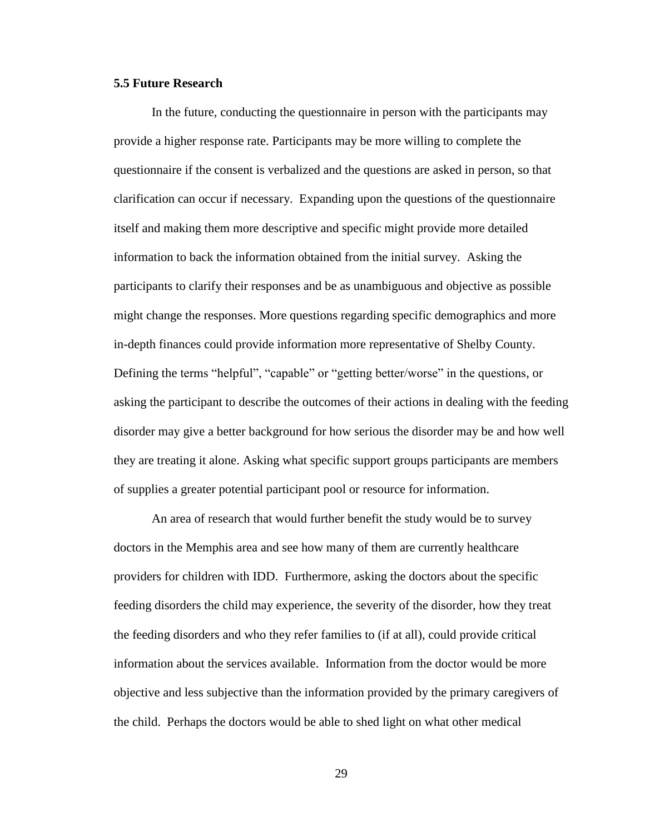#### **5.5 Future Research**

In the future, conducting the questionnaire in person with the participants may provide a higher response rate. Participants may be more willing to complete the questionnaire if the consent is verbalized and the questions are asked in person, so that clarification can occur if necessary. Expanding upon the questions of the questionnaire itself and making them more descriptive and specific might provide more detailed information to back the information obtained from the initial survey. Asking the participants to clarify their responses and be as unambiguous and objective as possible might change the responses. More questions regarding specific demographics and more in-depth finances could provide information more representative of Shelby County. Defining the terms "helpful", "capable" or "getting better/worse" in the questions, or asking the participant to describe the outcomes of their actions in dealing with the feeding disorder may give a better background for how serious the disorder may be and how well they are treating it alone. Asking what specific support groups participants are members of supplies a greater potential participant pool or resource for information.

An area of research that would further benefit the study would be to survey doctors in the Memphis area and see how many of them are currently healthcare providers for children with IDD. Furthermore, asking the doctors about the specific feeding disorders the child may experience, the severity of the disorder, how they treat the feeding disorders and who they refer families to (if at all), could provide critical information about the services available. Information from the doctor would be more objective and less subjective than the information provided by the primary caregivers of the child. Perhaps the doctors would be able to shed light on what other medical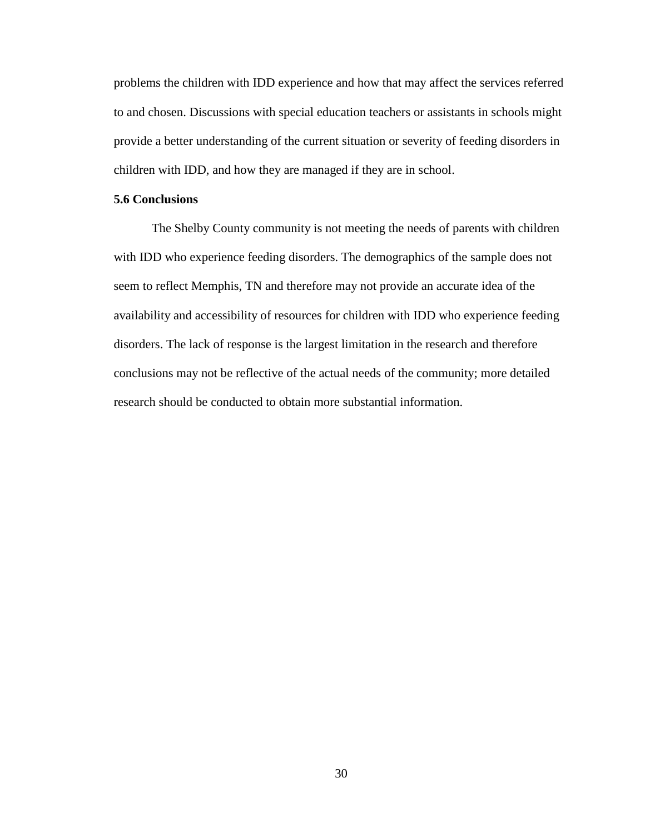problems the children with IDD experience and how that may affect the services referred to and chosen. Discussions with special education teachers or assistants in schools might provide a better understanding of the current situation or severity of feeding disorders in children with IDD, and how they are managed if they are in school.

#### **5.6 Conclusions**

The Shelby County community is not meeting the needs of parents with children with IDD who experience feeding disorders. The demographics of the sample does not seem to reflect Memphis, TN and therefore may not provide an accurate idea of the availability and accessibility of resources for children with IDD who experience feeding disorders. The lack of response is the largest limitation in the research and therefore conclusions may not be reflective of the actual needs of the community; more detailed research should be conducted to obtain more substantial information.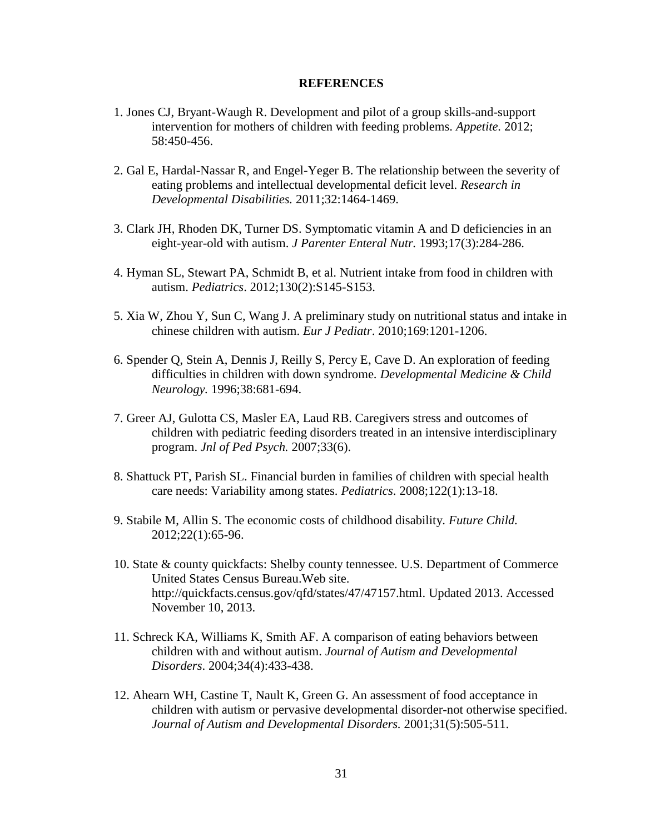#### **REFERENCES**

- 1. Jones CJ, Bryant-Waugh R. Development and pilot of a group skills-and-support intervention for mothers of children with feeding problems. *Appetite.* 2012; 58:450-456.
- 2. Gal E, Hardal-Nassar R, and Engel-Yeger B. The relationship between the severity of eating problems and intellectual developmental deficit level. *Research in Developmental Disabilities.* 2011;32:1464-1469.
- 3. Clark JH, Rhoden DK, Turner DS. Symptomatic vitamin A and D deficiencies in an eight-year-old with autism. *J Parenter Enteral Nutr.* 1993;17(3):284-286.
- 4. Hyman SL, Stewart PA, Schmidt B, et al. Nutrient intake from food in children with autism. *Pediatrics*. 2012;130(2):S145-S153.
- 5. Xia W, Zhou Y, Sun C, Wang J. A preliminary study on nutritional status and intake in chinese children with autism. *Eur J Pediatr*. 2010;169:1201-1206.
- 6. Spender Q, Stein A, Dennis J, Reilly S, Percy E, Cave D. An exploration of feeding difficulties in children with down syndrome. *Developmental Medicine & Child Neurology.* 1996;38:681-694.
- 7. Greer AJ, Gulotta CS, Masler EA, Laud RB. Caregivers stress and outcomes of children with pediatric feeding disorders treated in an intensive interdisciplinary program. *Jnl of Ped Psych.* 2007;33(6).
- 8. Shattuck PT, Parish SL. Financial burden in families of children with special health care needs: Variability among states. *Pediatrics*. 2008;122(1):13-18.
- 9. Stabile M, Allin S. The economic costs of childhood disability. *Future Child.* 2012;22(1):65-96.
- 10. State & county quickfacts: Shelby county tennessee. U.S. Department of Commerce United States Census Bureau.Web site. http://quickfacts.census.gov/qfd/states/47/47157.html. Updated 2013. Accessed November 10, 2013.
- 11. Schreck KA, Williams K, Smith AF. A comparison of eating behaviors between children with and without autism. *Journal of Autism and Developmental Disorders*. 2004;34(4):433-438.
- 12. Ahearn WH, Castine T, Nault K, Green G. An assessment of food acceptance in children with autism or pervasive developmental disorder-not otherwise specified. *Journal of Autism and Developmental Disorders.* 2001;31(5):505-511.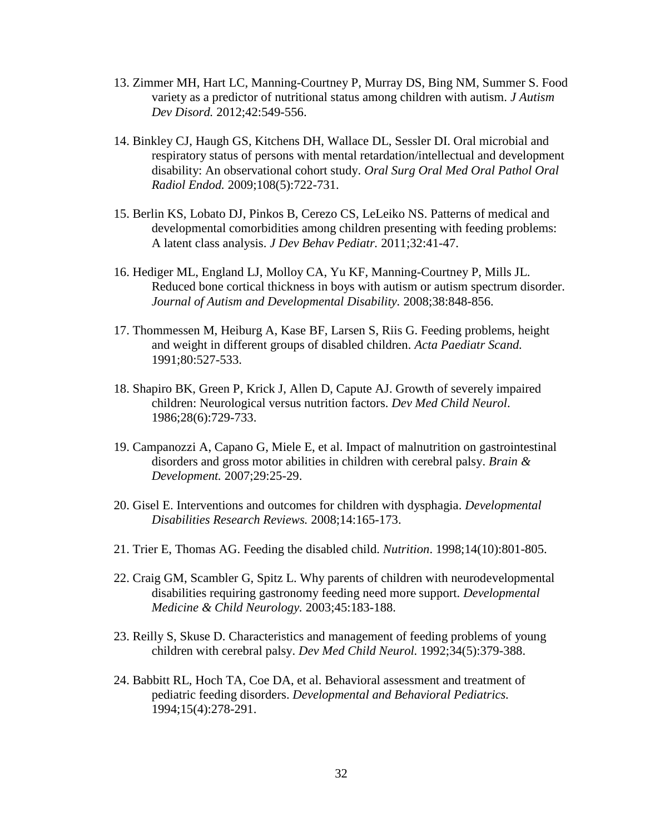- 13. Zimmer MH, Hart LC, Manning-Courtney P, Murray DS, Bing NM, Summer S. Food variety as a predictor of nutritional status among children with autism. *J Autism Dev Disord.* 2012;42:549-556.
- 14. Binkley CJ, Haugh GS, Kitchens DH, Wallace DL, Sessler DI. Oral microbial and respiratory status of persons with mental retardation/intellectual and development disability: An observational cohort study. *Oral Surg Oral Med Oral Pathol Oral Radiol Endod.* 2009;108(5):722-731.
- 15. Berlin KS, Lobato DJ, Pinkos B, Cerezo CS, LeLeiko NS. Patterns of medical and developmental comorbidities among children presenting with feeding problems: A latent class analysis. *J Dev Behav Pediatr.* 2011;32:41-47.
- 16. Hediger ML, England LJ, Molloy CA, Yu KF, Manning-Courtney P, Mills JL. Reduced bone cortical thickness in boys with autism or autism spectrum disorder. *Journal of Autism and Developmental Disability.* 2008;38:848-856.
- 17. Thommessen M, Heiburg A, Kase BF, Larsen S, Riis G. Feeding problems, height and weight in different groups of disabled children. *Acta Paediatr Scand.* 1991;80:527-533.
- 18. Shapiro BK, Green P, Krick J, Allen D, Capute AJ. Growth of severely impaired children: Neurological versus nutrition factors. *Dev Med Child Neurol*. 1986;28(6):729-733.
- 19. Campanozzi A, Capano G, Miele E, et al. Impact of malnutrition on gastrointestinal disorders and gross motor abilities in children with cerebral palsy. *Brain & Development.* 2007;29:25-29.
- 20. Gisel E. Interventions and outcomes for children with dysphagia. *Developmental Disabilities Research Reviews.* 2008;14:165-173.
- 21. Trier E, Thomas AG. Feeding the disabled child. *Nutrition*. 1998;14(10):801-805.
- 22. Craig GM, Scambler G, Spitz L. Why parents of children with neurodevelopmental disabilities requiring gastronomy feeding need more support. *Developmental Medicine & Child Neurology.* 2003;45:183-188.
- 23. Reilly S, Skuse D. Characteristics and management of feeding problems of young children with cerebral palsy. *Dev Med Child Neurol.* 1992;34(5):379-388.
- 24. Babbitt RL, Hoch TA, Coe DA, et al. Behavioral assessment and treatment of pediatric feeding disorders. *Developmental and Behavioral Pediatrics.* 1994;15(4):278-291.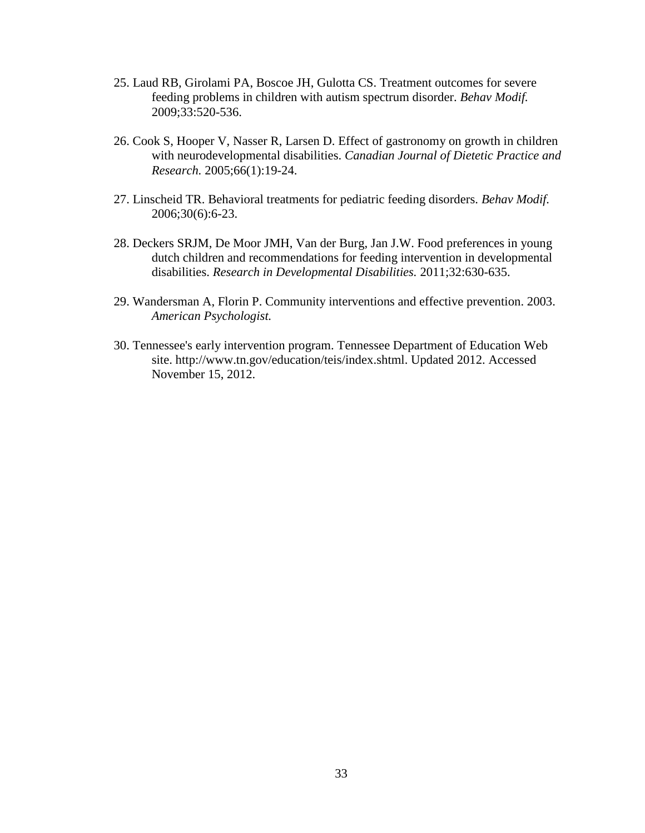- 25. Laud RB, Girolami PA, Boscoe JH, Gulotta CS. Treatment outcomes for severe feeding problems in children with autism spectrum disorder. *Behav Modif.*  2009;33:520-536.
- 26. Cook S, Hooper V, Nasser R, Larsen D. Effect of gastronomy on growth in children with neurodevelopmental disabilities. *Canadian Journal of Dietetic Practice and Research.* 2005;66(1):19-24.
- 27. Linscheid TR. Behavioral treatments for pediatric feeding disorders. *Behav Modif.* 2006;30(6):6-23.
- 28. Deckers SRJM, De Moor JMH, Van der Burg, Jan J.W. Food preferences in young dutch children and recommendations for feeding intervention in developmental disabilities. *Research in Developmental Disabilities.* 2011;32:630-635.
- 29. Wandersman A, Florin P. Community interventions and effective prevention. 2003. *American Psychologist.*
- 30. Tennessee's early intervention program. Tennessee Department of Education Web site. http://www.tn.gov/education/teis/index.shtml. Updated 2012. Accessed November 15, 2012.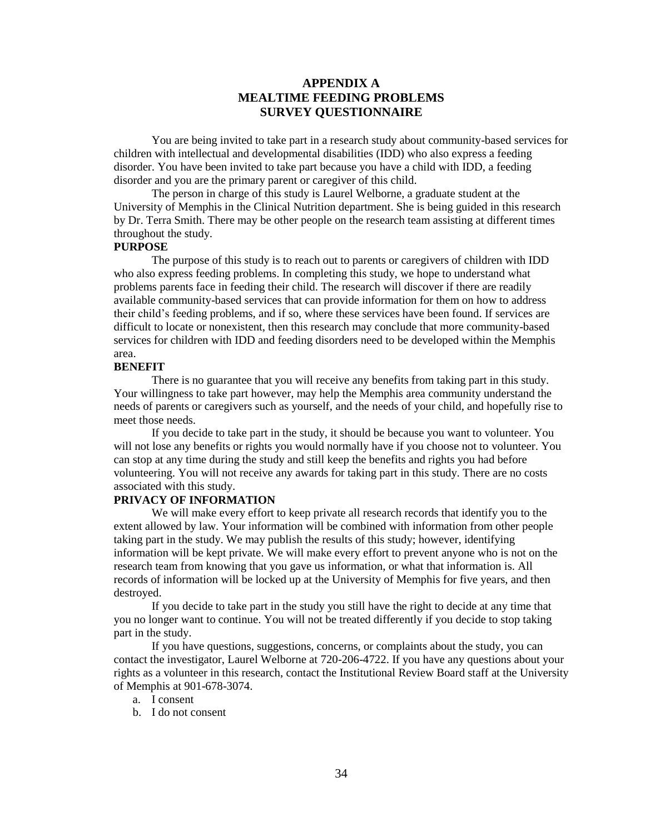### **APPENDIX A MEALTIME FEEDING PROBLEMS SURVEY QUESTIONNAIRE**

You are being invited to take part in a research study about community-based services for children with intellectual and developmental disabilities (IDD) who also express a feeding disorder. You have been invited to take part because you have a child with IDD, a feeding disorder and you are the primary parent or caregiver of this child.

The person in charge of this study is Laurel Welborne, a graduate student at the University of Memphis in the Clinical Nutrition department. She is being guided in this research by Dr. Terra Smith. There may be other people on the research team assisting at different times throughout the study.

#### **PURPOSE**

The purpose of this study is to reach out to parents or caregivers of children with IDD who also express feeding problems. In completing this study, we hope to understand what problems parents face in feeding their child. The research will discover if there are readily available community-based services that can provide information for them on how to address their child's feeding problems, and if so, where these services have been found. If services are difficult to locate or nonexistent, then this research may conclude that more community-based services for children with IDD and feeding disorders need to be developed within the Memphis area.

#### **BENEFIT**

There is no guarantee that you will receive any benefits from taking part in this study. Your willingness to take part however, may help the Memphis area community understand the needs of parents or caregivers such as yourself, and the needs of your child, and hopefully rise to meet those needs.

If you decide to take part in the study, it should be because you want to volunteer. You will not lose any benefits or rights you would normally have if you choose not to volunteer. You can stop at any time during the study and still keep the benefits and rights you had before volunteering. You will not receive any awards for taking part in this study. There are no costs associated with this study.

#### **PRIVACY OF INFORMATION**

We will make every effort to keep private all research records that identify you to the extent allowed by law. Your information will be combined with information from other people taking part in the study. We may publish the results of this study; however, identifying information will be kept private. We will make every effort to prevent anyone who is not on the research team from knowing that you gave us information, or what that information is. All records of information will be locked up at the University of Memphis for five years, and then destroyed.

If you decide to take part in the study you still have the right to decide at any time that you no longer want to continue. You will not be treated differently if you decide to stop taking part in the study.

If you have questions, suggestions, concerns, or complaints about the study, you can contact the investigator, Laurel Welborne at 720-206-4722. If you have any questions about your rights as a volunteer in this research, contact the Institutional Review Board staff at the University of Memphis at 901-678-3074.

- a. I consent
- b. I do not consent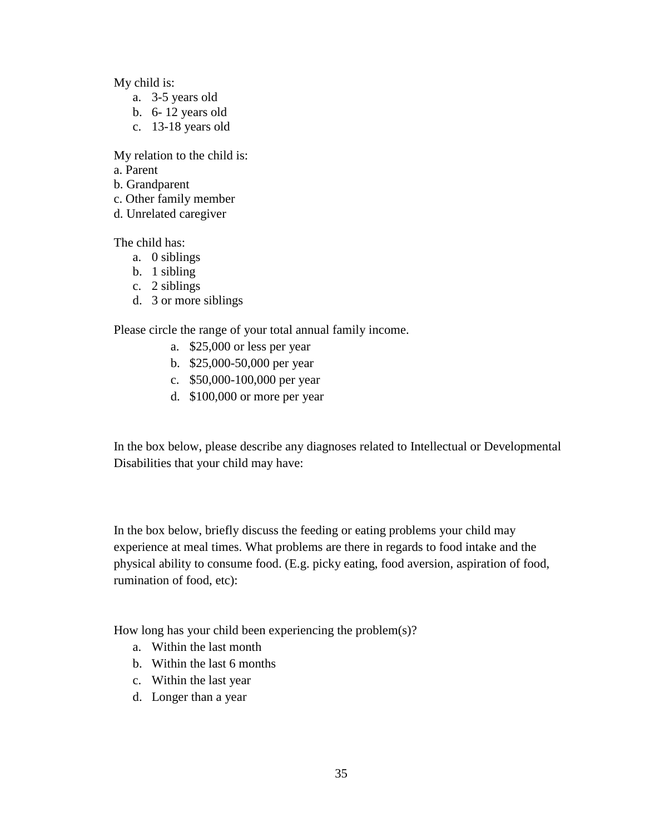My child is:

- a. 3-5 years old
- b. 6- 12 years old
- c. 13-18 years old

My relation to the child is:

- a. Parent
- b. Grandparent
- c. Other family member
- d. Unrelated caregiver

The child has:

- a. 0 siblings
- b. 1 sibling
- c. 2 siblings
- d. 3 or more siblings

Please circle the range of your total annual family income.

- a. \$25,000 or less per year
- b. \$25,000-50,000 per year
- c. \$50,000-100,000 per year
- d. \$100,000 or more per year

In the box below, please describe any diagnoses related to Intellectual or Developmental Disabilities that your child may have:

In the box below, briefly discuss the feeding or eating problems your child may experience at meal times. What problems are there in regards to food intake and the physical ability to consume food. (E.g. picky eating, food aversion, aspiration of food, rumination of food, etc):

How long has your child been experiencing the problem(s)?

- a. Within the last month
- b. Within the last 6 months
- c. Within the last year
- d. Longer than a year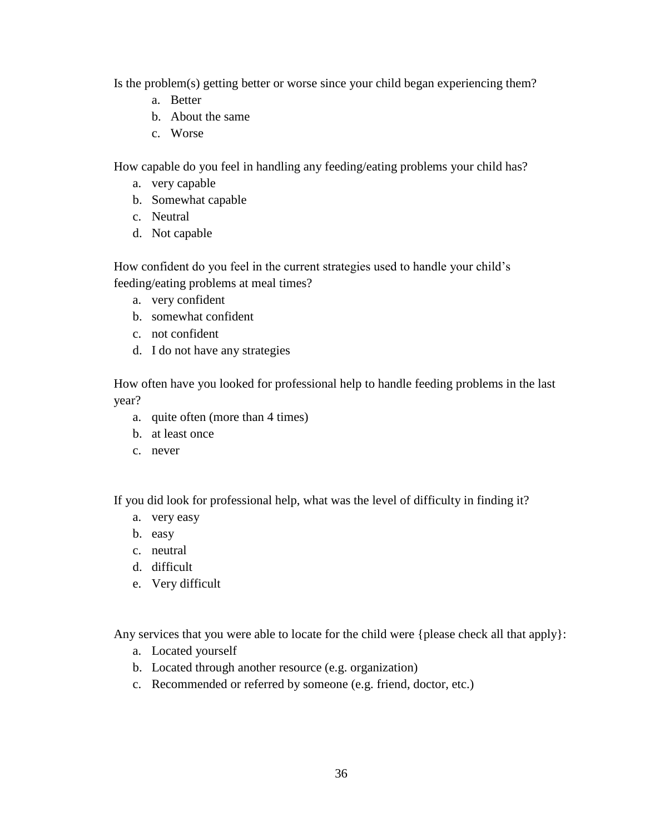Is the problem(s) getting better or worse since your child began experiencing them?

- a. Better
- b. About the same
- c. Worse

How capable do you feel in handling any feeding/eating problems your child has?

- a. very capable
- b. Somewhat capable
- c. Neutral
- d. Not capable

How confident do you feel in the current strategies used to handle your child's feeding/eating problems at meal times?

- a. very confident
- b. somewhat confident
- c. not confident
- d. I do not have any strategies

How often have you looked for professional help to handle feeding problems in the last year?

- a. quite often (more than 4 times)
- b. at least once
- c. never

If you did look for professional help, what was the level of difficulty in finding it?

- a. very easy
- b. easy
- c. neutral
- d. difficult
- e. Very difficult

Any services that you were able to locate for the child were {please check all that apply}:

- a. Located yourself
- b. Located through another resource (e.g. organization)
- c. Recommended or referred by someone (e.g. friend, doctor, etc.)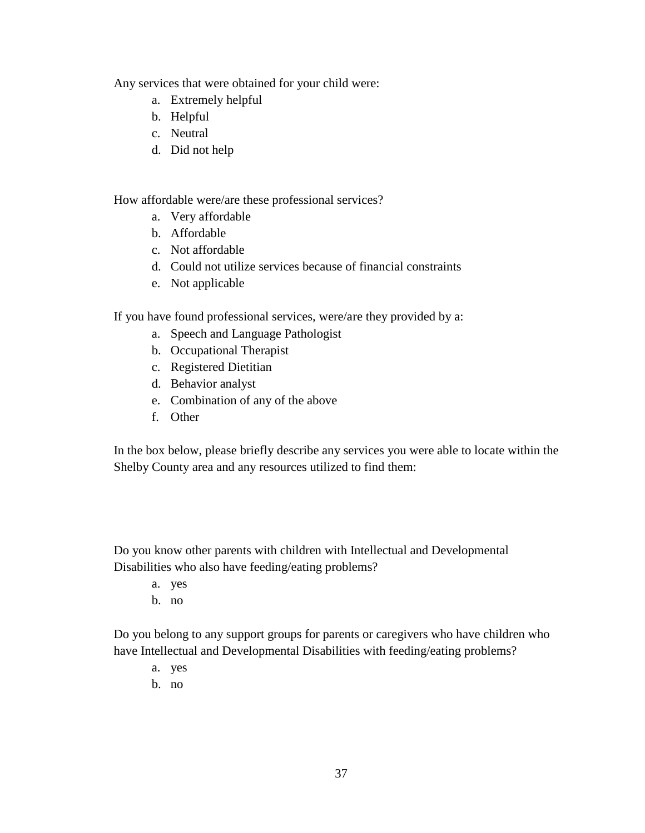Any services that were obtained for your child were:

- a. Extremely helpful
- b. Helpful
- c. Neutral
- d. Did not help

How affordable were/are these professional services?

- a. Very affordable
- b. Affordable
- c. Not affordable
- d. Could not utilize services because of financial constraints
- e. Not applicable

If you have found professional services, were/are they provided by a:

- a. Speech and Language Pathologist
- b. Occupational Therapist
- c. Registered Dietitian
- d. Behavior analyst
- e. Combination of any of the above
- f. Other

In the box below, please briefly describe any services you were able to locate within the Shelby County area and any resources utilized to find them:

Do you know other parents with children with Intellectual and Developmental Disabilities who also have feeding/eating problems?

- a. yes
- b. no

Do you belong to any support groups for parents or caregivers who have children who have Intellectual and Developmental Disabilities with feeding/eating problems?

- a. yes
- b. no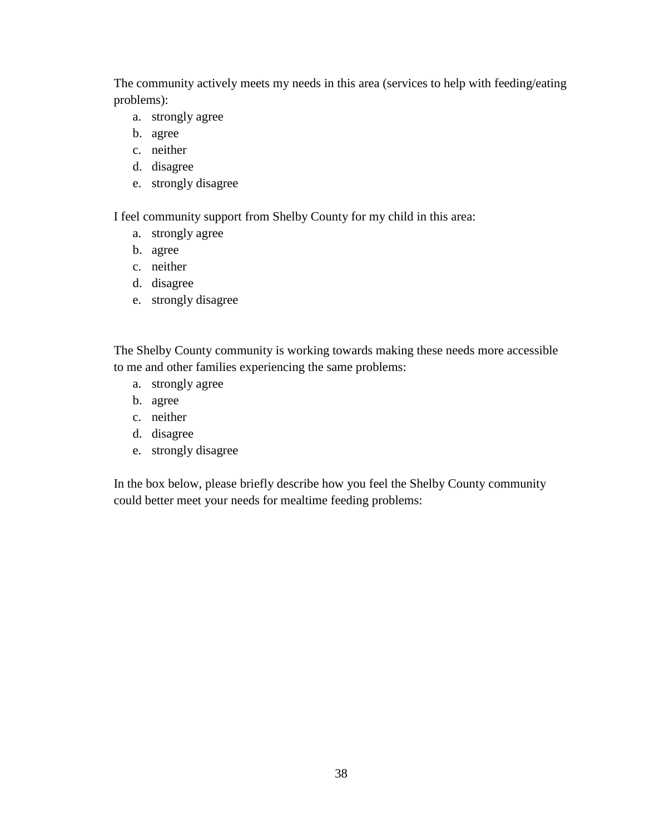The community actively meets my needs in this area (services to help with feeding/eating problems):

- a. strongly agree
- b. agree
- c. neither
- d. disagree
- e. strongly disagree

I feel community support from Shelby County for my child in this area:

- a. strongly agree
- b. agree
- c. neither
- d. disagree
- e. strongly disagree

The Shelby County community is working towards making these needs more accessible to me and other families experiencing the same problems:

- a. strongly agree
- b. agree
- c. neither
- d. disagree
- e. strongly disagree

In the box below, please briefly describe how you feel the Shelby County community could better meet your needs for mealtime feeding problems: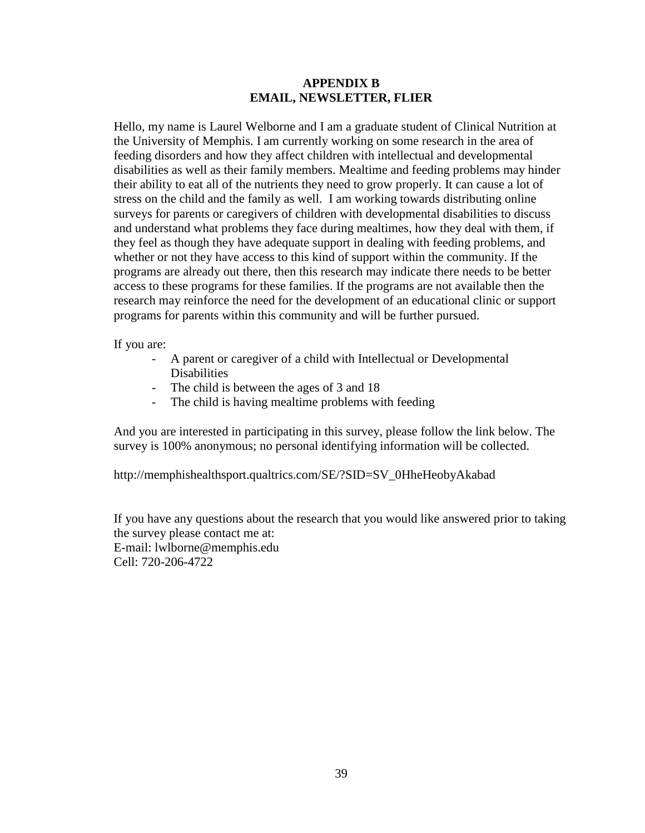#### **APPENDIX B EMAIL, NEWSLETTER, FLIER**

Hello, my name is Laurel Welborne and I am a graduate student of Clinical Nutrition at the University of Memphis. I am currently working on some research in the area of feeding disorders and how they affect children with intellectual and developmental disabilities as well as their family members. Mealtime and feeding problems may hinder their ability to eat all of the nutrients they need to grow properly. It can cause a lot of stress on the child and the family as well. I am working towards distributing online surveys for parents or caregivers of children with developmental disabilities to discuss and understand what problems they face during mealtimes, how they deal with them, if they feel as though they have adequate support in dealing with feeding problems, and whether or not they have access to this kind of support within the community. If the programs are already out there, then this research may indicate there needs to be better access to these programs for these families. If the programs are not available then the research may reinforce the need for the development of an educational clinic or support programs for parents within this community and will be further pursued.

If you are:

- A parent or caregiver of a child with Intellectual or Developmental **Disabilities**
- The child is between the ages of 3 and 18
- The child is having mealtime problems with feeding

And you are interested in participating in this survey, please follow the link below. The survey is 100% anonymous; no personal identifying information will be collected.

http://memphishealthsport.qualtrics.com/SE/?SID=SV\_0HheHeobyAkabad

If you have any questions about the research that you would like answered prior to taking the survey please contact me at: E-mail: lwlborne@memphis.edu Cell: 720-206-4722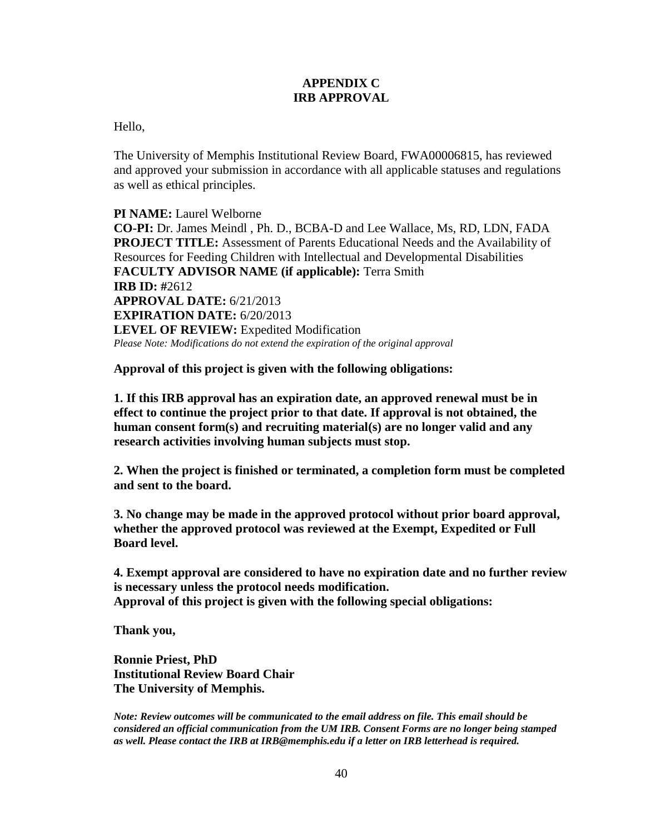## **APPENDIX C IRB APPROVAL**

Hello,

The University of Memphis Institutional Review Board, FWA00006815, has reviewed and approved your submission in accordance with all applicable statuses and regulations as well as ethical principles.

**PI NAME:** Laurel Welborne **CO-PI:** Dr. James Meindl , Ph. D., BCBA-D and Lee Wallace, Ms, RD, LDN, FADA **PROJECT TITLE:** Assessment of Parents Educational Needs and the Availability of Resources for Feeding Children with Intellectual and Developmental Disabilities **FACULTY ADVISOR NAME (if applicable):** Terra Smith **IRB ID: #**2612 **APPROVAL DATE:** 6/21/2013 **EXPIRATION DATE:** 6/20/2013 **LEVEL OF REVIEW:** Expedited Modification *Please Note: Modifications do not extend the expiration of the original approval*

**Approval of this project is given with the following obligations:**

**1. If this IRB approval has an expiration date, an approved renewal must be in effect to continue the project prior to that date. If approval is not obtained, the human consent form(s) and recruiting material(s) are no longer valid and any research activities involving human subjects must stop.**

**2. When the project is finished or terminated, a completion form must be completed and sent to the board.**

**3. No change may be made in the approved protocol without prior board approval, whether the approved protocol was reviewed at the Exempt, Expedited or Full Board level.**

**4. Exempt approval are considered to have no expiration date and no further review is necessary unless the protocol needs modification. Approval of this project is given with the following special obligations:**

**Thank you,**

**Ronnie Priest, PhD Institutional Review Board Chair The University of Memphis.**

*Note: Review outcomes will be communicated to the email address on file. This email should be considered an official communication from the UM IRB. Consent Forms are no longer being stamped as well. Please contact the IRB at IRB@memphis.edu if a letter on IRB letterhead is required.*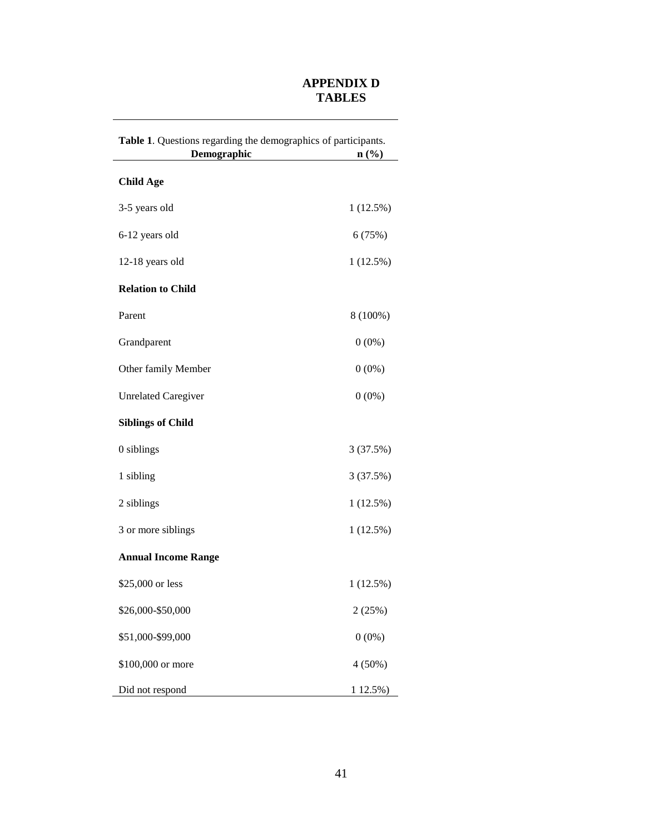## **APPENDIX D TABLES**

| Table 1. Questions regarding the demographics of participants. |                  |  |  |
|----------------------------------------------------------------|------------------|--|--|
| Demographic                                                    | $\mathbf{n}(\%)$ |  |  |
| <b>Child Age</b>                                               |                  |  |  |
| 3-5 years old                                                  | 1(12.5%)         |  |  |
| 6-12 years old                                                 | 6(75%)           |  |  |
| 12-18 years old                                                | 1(12.5%)         |  |  |
| <b>Relation to Child</b>                                       |                  |  |  |
| Parent                                                         | 8 (100%)         |  |  |
| Grandparent                                                    | $0(0\%)$         |  |  |
| Other family Member                                            | $0(0\%)$         |  |  |
| <b>Unrelated Caregiver</b>                                     | $0(0\%)$         |  |  |
| <b>Siblings of Child</b>                                       |                  |  |  |
| 0 siblings                                                     | 3(37.5%)         |  |  |
| 1 sibling                                                      | 3(37.5%)         |  |  |
| 2 siblings                                                     | 1(12.5%)         |  |  |
| 3 or more siblings                                             | 1(12.5%)         |  |  |
| <b>Annual Income Range</b>                                     |                  |  |  |
| \$25,000 or less                                               | 1(12.5%)         |  |  |
| \$26,000-\$50,000                                              | 2(25%)           |  |  |
| \$51,000-\$99,000                                              | $0(0\%)$         |  |  |
| \$100,000 or more                                              | 4 (50%)          |  |  |
| Did not respond                                                | 1 12.5%)         |  |  |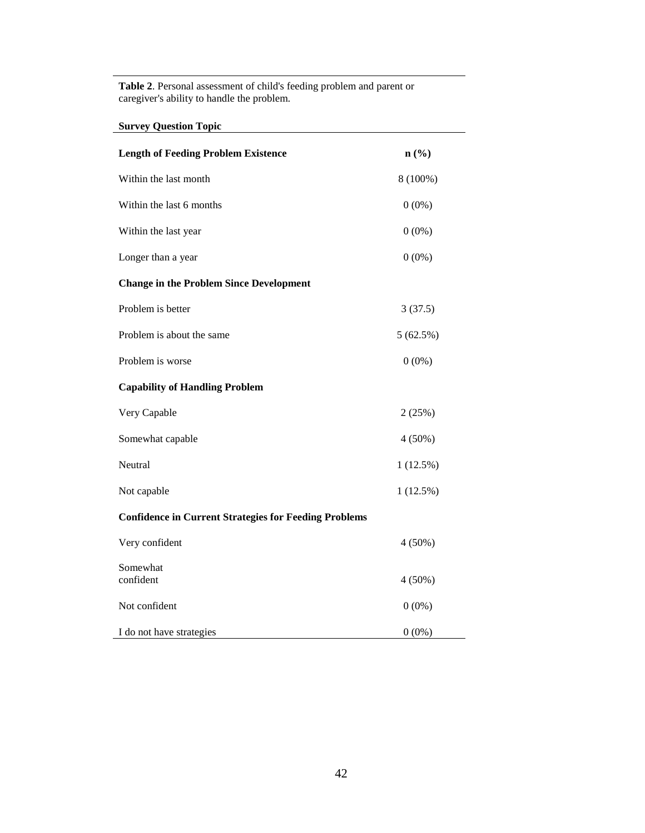**Table 2**. Personal assessment of child's feeding problem and parent or caregiver's ability to handle the problem.

**Survey Question Topic**

| <b>Length of Feeding Problem Existence</b>                   | $n\left(\frac{9}{6}\right)$ |  |  |
|--------------------------------------------------------------|-----------------------------|--|--|
| Within the last month                                        | 8 (100%)                    |  |  |
| Within the last 6 months                                     | $0(0\%)$                    |  |  |
| Within the last year                                         | $0(0\%)$                    |  |  |
| Longer than a year                                           | $0(0\%)$                    |  |  |
| <b>Change in the Problem Since Development</b>               |                             |  |  |
| Problem is better                                            | 3(37.5)                     |  |  |
| Problem is about the same                                    | 5(62.5%)                    |  |  |
| Problem is worse                                             | $0(0\%)$                    |  |  |
| <b>Capability of Handling Problem</b>                        |                             |  |  |
| Very Capable                                                 | 2(25%)                      |  |  |
| Somewhat capable                                             | $4(50\%)$                   |  |  |
| Neutral                                                      | 1(12.5%)                    |  |  |
| Not capable                                                  | 1(12.5%)                    |  |  |
| <b>Confidence in Current Strategies for Feeding Problems</b> |                             |  |  |
| Very confident                                               | $4(50\%)$                   |  |  |
| Somewhat<br>confident                                        | $4(50\%)$                   |  |  |
| Not confident                                                | $0(0\%)$                    |  |  |
| I do not have strategies                                     | $0(0\%)$                    |  |  |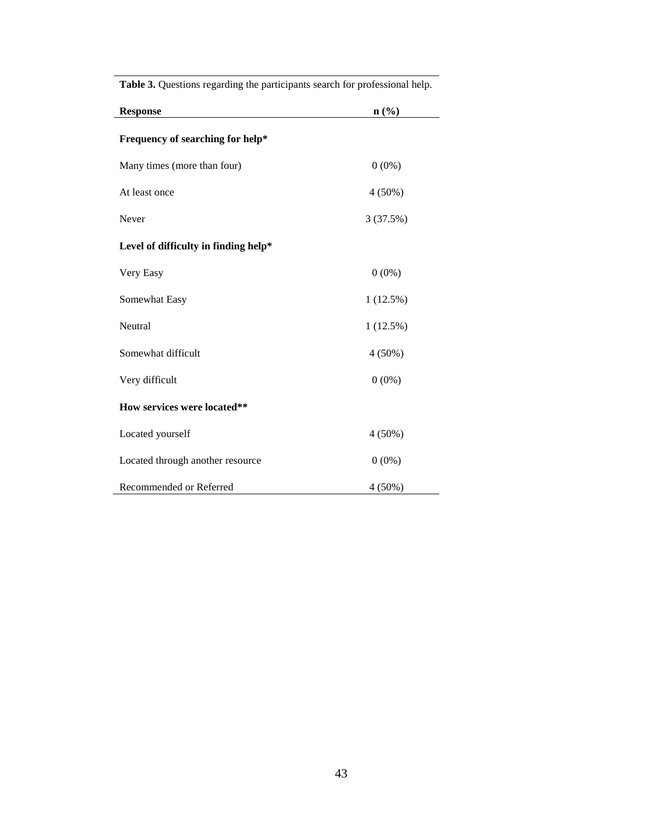| <b>Response</b>                      | $n\left(\frac{9}{6}\right)$ |
|--------------------------------------|-----------------------------|
| Frequency of searching for help*     |                             |
| Many times (more than four)          | $0(0\%)$                    |
| At least once                        | $4(50\%)$                   |
| Never                                | 3(37.5%)                    |
| Level of difficulty in finding help* |                             |
| Very Easy                            | $0(0\%)$                    |
| Somewhat Easy                        | 1(12.5%)                    |
| Neutral                              | 1(12.5%)                    |
| Somewhat difficult                   | $4(50\%)$                   |
| Very difficult                       | $0(0\%)$                    |
| How services were located**          |                             |
| Located yourself                     | $4(50\%)$                   |
| Located through another resource     | $0(0\%)$                    |
| Recommended or Referred              | $4(50\%)$                   |

**Table 3.** Questions regarding the participants search for professional help.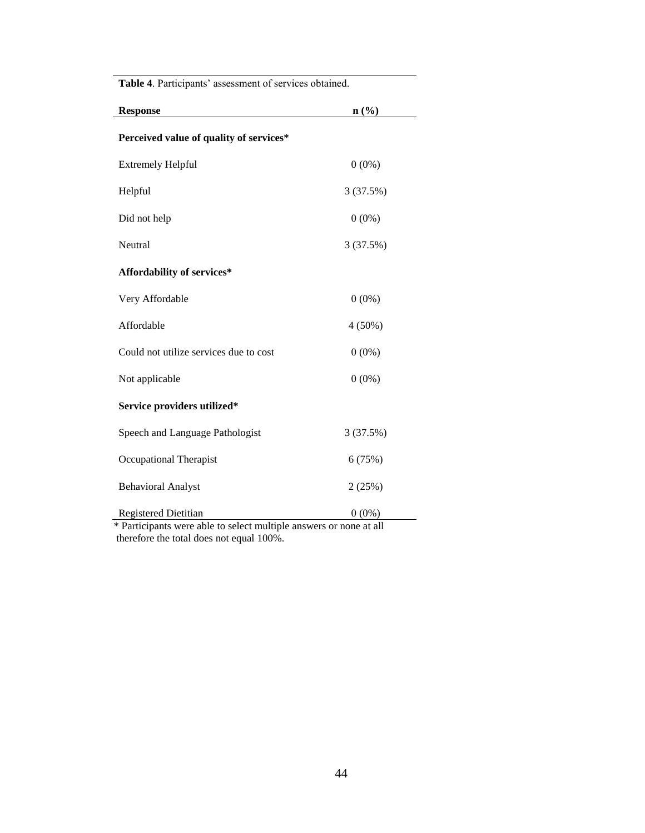| Table 4. Participants' assessment of services obtained.    |                             |  |  |
|------------------------------------------------------------|-----------------------------|--|--|
| <b>Response</b>                                            | $n\left(\frac{0}{0}\right)$ |  |  |
| Perceived value of quality of services*                    |                             |  |  |
| <b>Extremely Helpful</b>                                   | $0(0\%)$                    |  |  |
| Helpful                                                    | 3 (37.5%)                   |  |  |
| Did not help                                               | $0(0\%)$                    |  |  |
| Neutral                                                    | 3 (37.5%)                   |  |  |
| Affordability of services*                                 |                             |  |  |
| Very Affordable                                            | $0(0\%)$                    |  |  |
| Affordable                                                 | $4(50\%)$                   |  |  |
| Could not utilize services due to cost                     | $0(0\%)$                    |  |  |
| Not applicable                                             | $0(0\%)$                    |  |  |
| Service providers utilized*                                |                             |  |  |
| Speech and Language Pathologist                            | 3 (37.5%)                   |  |  |
| Occupational Therapist                                     | 6(75%)                      |  |  |
| <b>Behavioral Analyst</b>                                  | 2(25%)                      |  |  |
| <b>Registered Dietitian</b><br>$1.7 - 1$<br>$\blacksquare$ | $0(0\%)$                    |  |  |

\* Participants were able to select multiple answers or none at all therefore the total does not equal 100%.